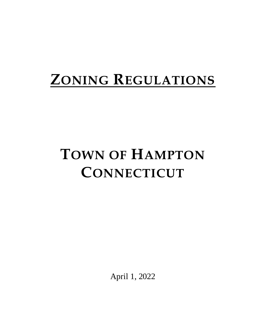# **ZONING REGULATIONS**

# **TOWN OF HAMPTON CONNECTICUT**

April 1, 2022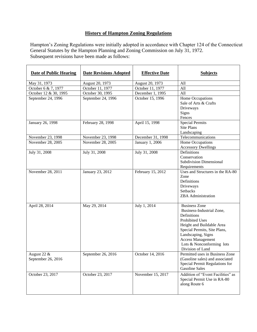# **History of Hampton Zoning Regulations**

Hampton's Zoning Regulations were initially adopted in accordance with Chapter 124 of the Connecticut General Statutes by the Hampton Planning and Zoning Commission on July 31, 1972. Subsequent revisions have been made as follows:

| <b>Date of Public Hearing</b>     | <b>Date Revisions Adopted</b> | <b>Effective Date</b> | <b>Subjects</b>                                                                                                                                                                                                                                     |  |  |
|-----------------------------------|-------------------------------|-----------------------|-----------------------------------------------------------------------------------------------------------------------------------------------------------------------------------------------------------------------------------------------------|--|--|
| May 31, 1973                      | August 20, 1973               | August 20, 1973       | All                                                                                                                                                                                                                                                 |  |  |
| October 6 & 7, 1977               | October 11, 1977              | October 11, 1977      | All                                                                                                                                                                                                                                                 |  |  |
| October 12 & 30, 1995             | October 30, 1995              | December 1, 1995      | All                                                                                                                                                                                                                                                 |  |  |
| September 24, 1996                | September 24, 1996            | October 15, 1996      | Home Occupations<br>Sale of Arts & Crafts<br>Driveways<br>Signs<br>Fences                                                                                                                                                                           |  |  |
| January 26, 1998                  | February 28, 1998             | April 15, 1998        | <b>Special Permits</b><br><b>Site Plans</b><br>Landscaping                                                                                                                                                                                          |  |  |
| November 23, 1998                 | November 23, 1998             | December 31, 1998     | Telecommunications                                                                                                                                                                                                                                  |  |  |
| November 28, 2005                 | November 28, 2005             | January 1, 2006       | Home Occupations<br><b>Accessory Dwellings</b>                                                                                                                                                                                                      |  |  |
| July 31, 2008                     | July 31, 2008                 | July 31, 2008         | Definitions<br>Conservation<br><b>Subdivision Dimensional</b><br>Requirements                                                                                                                                                                       |  |  |
| November 28, 2011                 | January 23, 2012              | February 15, 2012     | Uses and Structures in the RA-80<br>Zone<br>Definitions<br>Driveways<br>Setbacks<br><b>ZBA</b> Administration                                                                                                                                       |  |  |
| April 28, 2014                    | May 29, 2014                  | July 1, 2014          | <b>Business Zone</b><br>Business-Industrial Zone,<br>Definitions<br><b>Prohibited Uses</b><br>Height and Buildable Area<br>Special Permits, Site Plans,<br>Landscaping, Signs<br>Access Management<br>Lots & Nonconforming lots<br>Division of Land |  |  |
| August 22 &<br>September 26, 2016 | September 26, 2016            | October 14, 2016      | Permitted uses in Business Zone<br>(Gasoline sales) and associated<br>Special Permit Regulations for<br><b>Gasoline Sales</b>                                                                                                                       |  |  |
| October 23, 2017                  | October 23, 2017              | November 15, 2017     | Addition of "Event Facilities" as<br>Special Permit Use in RA-80<br>along Route 6                                                                                                                                                                   |  |  |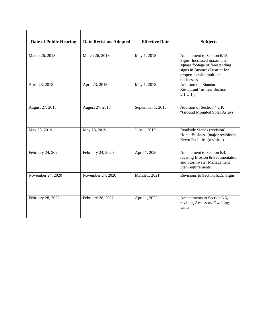| <b>Date of Public Hearing</b> | <b>Date Revisions Adopted</b> | <b>Effective Date</b> | <b>Subjects</b>                                                                                                                                                      |
|-------------------------------|-------------------------------|-----------------------|----------------------------------------------------------------------------------------------------------------------------------------------------------------------|
| March 26, 2018                | March 26, 2018                | May 1, 2018           | Amendment to Section 6.15,<br>Signs. Increased maximum<br>square footage of freestanding<br>signs in Business District for<br>properties with multiple<br>businesses |
| April 23, 2018                | April 23, 2018                | May 1, 2018           | Addition of "Standard<br>Restaurant" as new Section<br>$5.1.C.1.$ j                                                                                                  |
| August 27, 2018               | August 27, 2018               | September 1, 2018     | Addition of Section 4.2.P,<br>"Ground Mounted Solar Arrays"                                                                                                          |
| May 28, 2019                  | May 28, 2019                  | July 1, 2019          | Roadside Stands (revision);<br>Home Business (major revision);<br>Event Facilities (revision)                                                                        |
| February 24, 2020             | February 24, 2020             | April 1, 2020         | Amendment to Section 6.4,<br>revising Erosion & Sedimentation<br>and Stormwater Management<br>Plan requirements                                                      |
| November 24, 2020             | November 24, 2020             | March 1, 2021         | Revisions to Section 6.15, Signs                                                                                                                                     |
| February 28, 2022             | February 28, 2022             | April 1, 2022         | Amendments to Section 6.6,<br>revising Accessory Dwelling<br>Units                                                                                                   |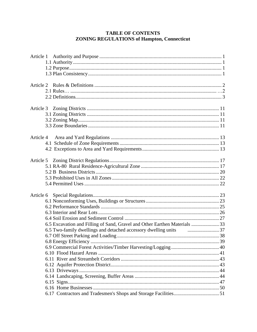# **TABLE OF CONTENTS ZONING REGULATIONS of Hampton, Connecticut**

| Article 4                                                                            |  |
|--------------------------------------------------------------------------------------|--|
|                                                                                      |  |
|                                                                                      |  |
|                                                                                      |  |
|                                                                                      |  |
|                                                                                      |  |
|                                                                                      |  |
|                                                                                      |  |
|                                                                                      |  |
|                                                                                      |  |
| Article 6                                                                            |  |
|                                                                                      |  |
|                                                                                      |  |
|                                                                                      |  |
|                                                                                      |  |
| 6.5 Excavation and Filling of Sand, Gravel and Other Earthen Materials  33           |  |
| 6.5 Two-family dwellings and detached accessory dwelling units <i>manufacture</i> 37 |  |
|                                                                                      |  |
|                                                                                      |  |
|                                                                                      |  |
|                                                                                      |  |
|                                                                                      |  |
|                                                                                      |  |
|                                                                                      |  |
|                                                                                      |  |
|                                                                                      |  |
|                                                                                      |  |
|                                                                                      |  |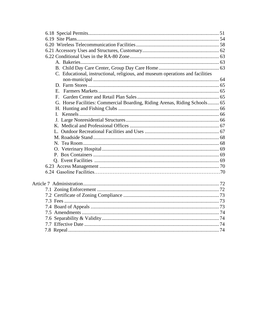| C. Educational, instructional, religious, and museum operations and facilities |  |
|--------------------------------------------------------------------------------|--|
|                                                                                |  |
|                                                                                |  |
|                                                                                |  |
|                                                                                |  |
| G. Horse Facilities: Commercial Boarding, Riding Arenas, Riding Schools 65     |  |
|                                                                                |  |
|                                                                                |  |
|                                                                                |  |
|                                                                                |  |
|                                                                                |  |
|                                                                                |  |
|                                                                                |  |
|                                                                                |  |
|                                                                                |  |
|                                                                                |  |
|                                                                                |  |
|                                                                                |  |
|                                                                                |  |
|                                                                                |  |
|                                                                                |  |
|                                                                                |  |
|                                                                                |  |
|                                                                                |  |
|                                                                                |  |
|                                                                                |  |
|                                                                                |  |
|                                                                                |  |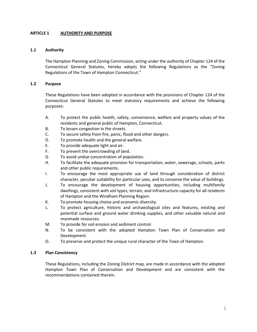# **ARTICLE 1 AUTHORITY AND PURPOSE**

## **1.1 Authority**

The Hampton Planning and Zoning Commission, acting under the authority of Chapter 124 of the Connecticut General Statutes, hereby adopts the following Regulations as the "Zoning Regulations of the Town of Hampton Connecticut."

# **1.2 Purpose**

These Regulations have been adopted in accordance with the provisions of Chapter 124 of the Connecticut General Statutes to meet statutory requirements and achieve the following purposes:

- A. To protect the public health, safety, convenience, welfare and property values of the residents and general public of Hampton, Connecticut.
- B. To lessen congestion in the streets.
- C. To secure safety from fire, panic, flood and other dangers.
- D. To promote health and the general welfare.
- E. To provide adequate light and air.
- F. To prevent the overcrowding of land.
- G. To avoid undue concentration of population.
- H. To facilitate the adequate provision for transportation, water, sewerage, schools, parks and other public requirements.
- I. To encourage the most appropriate use of land through consideration of district character, peculiar suitability for particular uses, and to conserve the value of buildings.
- J. To encourage the development of housing opportunities, including multifamily dwellings, consistent with soil types, terrain, and infrastructure capacity for all residents of Hampton and the Windham Planning Region.
- K. To promote housing choice and economic diversity.
- L. To protect agriculture, historic and archaeological sites and features, existing and potential surface and ground water drinking supplies, and other valuable natural and manmade resources.
- M. To provide for soil erosion and sediment control.
- N. To be consistent with the adopted Hampton Town Plan of Conservation and Development.
- O. To preserve and protect the unique rural character of the Town of Hampton.

# **1.3 Plan Consistency**

These Regulations, including the Zoning District map, are made in accordance with the adopted Hampton Town Plan of Conservation and Development and are consistent with the recommendations contained therein.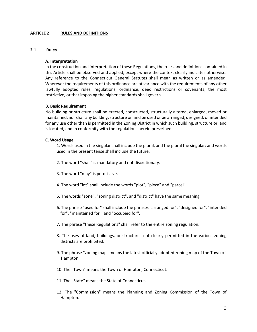## **ARTICLE 2 RULES AND DEFINITIONS**

## **2.1 Rules**

## **A. Interpretation**

In the construction and interpretation of these Regulations, the rules and definitions contained in this Article shall be observed and applied, except where the context clearly indicates otherwise. Any reference to the Connecticut General Statutes shall mean as written or as amended. Wherever the requirements of this ordinance are at variance with the requirements of any other lawfully adopted rules, regulations, ordinance, deed restrictions or covenants, the most restrictive, or that imposing the higher standards shall govern.

## **B. Basic Requirement**

No building or structure shall be erected, constructed, structurally altered, enlarged, moved or maintained, nor shall any building, structure or land be used or be arranged, designed, or intended for any use other than is permitted in the Zoning District in which such building, structure or land is located, and in conformity with the regulations herein prescribed.

## **C. Word Usage**

1. Words used in the singular shall include the plural, and the plural the singular; and words used in the present tense shall include the future.

- 2. The word "shall" is mandatory and not discretionary.
- 3. The word "may" is permissive.
- 4. The word "lot" shall include the words "plot", "piece" and "parcel".
- 5. The words "zone", "zoning district", and "district" have the same meaning.
- 6. The phrase "used for" shall include the phrases "arranged for", "designed for", "intended for", "maintained for", and "occupied for".
- 7. The phrase "these Regulations" shall refer to the entire zoning regulation.
- 8. The uses of land, buildings, or structures not clearly permitted in the various zoning districts are prohibited.
- 9. The phrase "zoning map" means the latest officially adopted zoning map of the Town of Hampton.
- 10. The "Town" means the Town of Hampton, Connecticut.
- 11. The "State" means the State of Connecticut.
- 12. The "Commission" means the Planning and Zoning Commission of the Town of Hampton.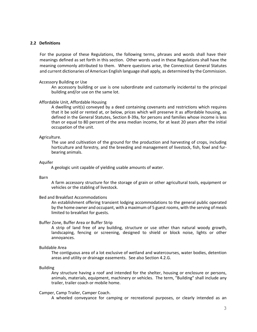#### **2.2 Definitions**

For the purpose of these Regulations, the following terms, phrases and words shall have their meanings defined as set forth in this section. Other words used in these Regulations shall have the meaning commonly attributed to them. Where questions arise, the Connecticut General Statutes and current dictionaries of American English language shall apply, as determined by the Commission.

#### Accessory Building or Use

An accessory building or use is one subordinate and customarily incidental to the principal building and/or use on the same lot.

## Affordable Unit, Affordable Housing

A dwelling unit(s) conveyed by a deed containing covenants and restrictions which requires that it be sold or rented at, or below, prices which will preserve it as affordable housing, as defined in the General Statutes, Section 8-39a, for persons and families whose income is less than or equal to 80 percent of the area median income, for at least 20 years after the initial occupation of the unit.

#### Agriculture.

The use and cultivation of the ground for the production and harvesting of crops, including horticulture and forestry, and the breeding and management of livestock, fish, fowl and furbearing animals.

#### Aquifer

A geologic unit capable of yielding usable amounts of water.

## Barn

A farm accessory structure for the storage of grain or other agricultural tools, equipment or vehicles or the stabling of livestock.

## Bed and Breakfast Accommodations

An establishment offering transient lodging accommodations to the general public operated by the home owner and occupant, with a maximum of 5 guest rooms, with the serving of meals limited to breakfast for guests.

#### Buffer Zone, Buffer Area or Buffer Strip

A strip of land free of any building, structure or use other than natural woody growth, landscaping, fencing or screening, designed to shield or block noise, lights or other annoyances.

#### Buildable Area

The contiguous area of a lot exclusive of wetland and watercourses, water bodies, detention areas and utility or drainage easements. See also Section 4.2.G.

Building

Any structure having a roof and intended for the shelter, housing or enclosure or persons, animals, materials, equipment, machinery or vehicles. The term, "Building" shall include any trailer, trailer coach or mobile home.

#### Camper, Camp Trailer, Camper Coach.

A wheeled conveyance for camping or recreational purposes, or clearly intended as an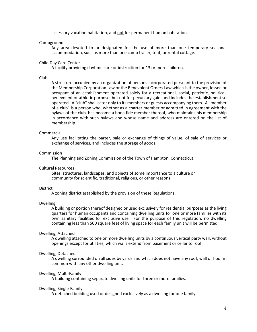accessory vacation habitation, and not for permanent human habitation.

#### Campground

Any area devoted to or designated for the use of more than one temporary seasonal accommodation, such as more than one camp trailer, tent, or rental cottage.

#### Child Day Care Center

A facility providing daytime care or instruction for 13 or more children.

#### Club

A structure occupied by an organization of persons incorporated pursuant to the provision of the Membership Corporation Law or the Benevolent Orders Law which is the owner, lessee or occupant of an establishment operated solely for a recreational, social, patriotic, political, benevolent or athletic purpose, but not for pecuniary gain, and includes the establishment so operated. A "club" shall cater only to its members or guests accompanying them. A "member of a club" is a person who, whether as a charter member or admitted in agreement with the bylaws of the club, has become a bona fide member thereof, who maintains his membership in accordance with such bylaws and whose name and address are entered on the list of membership.

#### Commercial

Any use facilitating the barter, sale or exchange of things of value, of sale of services or exchange of services, and includes the storage of goods.

## Commission

The Planning and Zoning Commission of the Town of Hampton, Connecticut.

#### Cultural Resources

 Sites, structures, landscapes, and objects of some importance to a culture or community for scientific, traditional, religious, or other reasons.

#### **District**

A zoning district established by the provision of these Regulations.

#### Dwelling

A building or portion thereof designed or used exclusively for residential purposes as the living quarters for human occupants and containing dwelling units for one or more families with its own sanitary facilities for exclusive use. For the purpose of this regulation, no dwelling containing less than 500 square feet of living space for each family unit will be permitted.

## Dwelling, Attached

A dwelling attached to one or more dwelling units by a continuous vertical party wall, without openings except for utilities, which walls extend from basement or cellar to roof.

## Dwelling, Detached

A dwelling surrounded on all sides by yards and which does not have any roof, wall or floor in common with any other dwelling unit.

#### Dwelling, Multi-Family

A building containing separate dwelling units for three or more families.

#### Dwelling, Single-Family

A detached building used or designed exclusively as a dwelling for one family.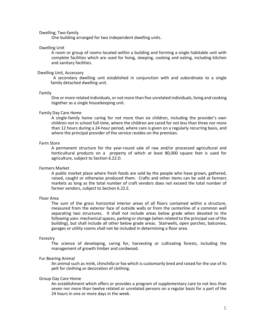## Dwelling, Two-family

One building arranged for two independent dwelling units.

#### Dwelling Unit

A room or group of rooms located within a building and forming a single habitable unit with complete facilities which are used for living, sleeping, cooking and eating, including kitchen and sanitary facilities.

#### Dwelling Unit, Accessory

 A secondary dwelling unit established in conjunction with and subordinate to a single family detached dwelling unit.

#### Family

One or more related individuals, or not more than five unrelated individuals, living and cooking together as a single housekeeping unit.

## Family Day Care Home

A single-family home caring for not more than six children, including the provider's own children not in school full-time, where the children are cared for not less than three nor more than 12 hours during a 24-hour period, where care is given on a regularly recurring basis, and where the principal provider of the service resides on the premises.

## Farm Store

A permanent structure for the year-round sale of raw and/or processed agricultural and horticultural products on a property of which at least 80,000 square feet is used for agriculture, subject to Section 6.22.D.

## Farmers Market

A public market place where fresh foods are sold by the people who have grown, gathered, raised, caught or otherwise produced them. Crafts and other items can be sold at farmers markets as long as the total number of craft vendors does not exceed the total number of farmer vendors, subject to Section 6.22.E.

#### Floor Area

The sum of the gross horizontal interior areas of all floors contained within a structure, measured from the exterior face of outside walls or from the centerline of a common wall separating two structures. It shall not include areas below grade when devoted to the following uses: mechanical spaces, parking or storage (when related to the principal use of the building), but shall include all other below grade areas. Stairwells, open porches, balconies, garages or utility rooms shall not be included in determining a floor area.

## Forestry

The science of developing, caring for, harvesting or cultivating forests, including the management of growth timber and cordwood.

## Fur Bearing Animal

An animal such as mink, chinchilla or fox which is customarily bred and raised for the use of its pelt for clothing or decoration of clothing.

## Group Day Care Home

An establishment which offers or provides a program of supplementary care to not less than seven nor more than twelve related or unrelated persons on a regular basis for a part of the 24 hours in one or more days in the week.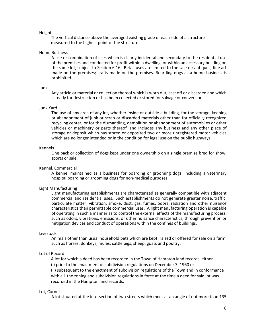#### Height

The vertical distance above the averaged existing grade of each side of a structure measured to the highest point of the structure.

#### Home Business

A use or combination of uses which is clearly incidental and secondary to the residential use of the premises and conducted for profit within a dwelling, or within an accessory building on the same lot, subject to Section 6.16. Retail uses are limited to the sale of: antiques; fine art made on the premises; crafts made on the premises. Boarding dogs as a home business is prohibited.

#### Junk

Any article or material or collection thereof which is worn out, cast off or discarded and which is ready for destruction or has been collected or stored for salvage or conversion.

#### Junk Yard

The use of any area of any lot, whether inside or outside a building, for the storage, keeping or abandonment of junk or scrap or discarded materials other than for officially recognized recycling center; or for the dismantling, demolition or abandonment of automobiles or other vehicles or machinery or parts thereof, and includes any business and any other place of storage or deposit which has stored or deposited two or more unregistered motor vehicles which are no longer intended or in the condition for legal use on the public highways.

#### Kennels

One pack or collection of dogs kept under one ownership on a single premise bred for show, sports or sale.

## Kennel, Commercial

A kennel maintained as a business for boarding or grooming dogs, including a veterinary hospital boarding or grooming dogs for non-medical purposes.

#### Light Manufacturing

Light manufacturing establishments are characterized as generally compatible with adjacent commercial and residential uses. Such establishments do not generate greater noise, traffic, particulate matter, vibration, smoke, dust, gas, fumes, odors, radiation and other nuisance characteristics than permittable commercial uses. A light manufacturing operation is capable of operating in such a manner as to control the external effects of the manufacturing process, such as odors, vibrations, emissions, or other nuisance characteristics, through prevention or mitigation devices and conduct of operations within the confines of buildings.

#### Livestock

Animals other than usual household pets which are kept, raised or offered for sale on a farm, such as horses, donkeys, mules, cattle pigs, sheep, goats and poultry.

## Lot of Record

A lot for which a deed has been recorded in the Town of Hampton land records, either (i) prior to the enactment of subdivision regulations on December 3, 1960 or

(ii) subsequent to the enactment of subdivision regulations of the Town and in conformance with all the zoning and subdivision regulations in force at the time a deed for said lot was recorded in the Hampton land records.

#### Lot, Corner

A lot situated at the intersection of two streets which meet at an angle of not more than 135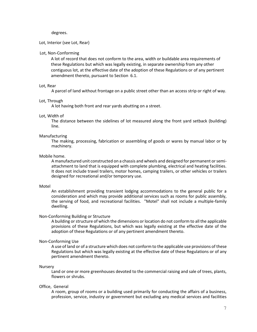degrees.

## Lot, Interior (see Lot, Rear)

## Lot, Non-Conforming

A lot of record that does not conform to the area, width or buildable area requirements of these Regulations but which was legally existing, in separate ownership from any other contiguous lot, at the effective date of the adoption of these Regulations or of any pertinent amendment thereto, pursuant to Section 6.1.

#### Lot, Rear

A parcel of land without frontage on a public street other than an access strip or right of way.

#### Lot, Through

A lot having both front and rear yards abutting on a street.

#### Lot, Width of

The distance between the sidelines of lot measured along the front yard setback (building) line.

## Manufacturing

The making, processing, fabrication or assembling of goods or wares by manual labor or by machinery.

#### Mobile home.

A manufactured unit constructed on a chassis and wheels and designed for permanent or semiattachment to land that is equipped with complete plumbing, electrical and heating facilities. It does not include travel trailers, motor homes, camping trailers, or other vehicles or trailers designed for recreational and/or temporary use.

#### Motel

An establishment providing transient lodging accommodations to the general public for a consideration and which may provide additional services such as rooms for public assembly, the serving of food, and recreational facilities. "Motel" shall not include a multiple-family dwelling.

## Non-Conforming Building or Structure

A building or structure of which the dimensions or location do not conform to all the applicable provisions of these Regulations, but which was legally existing at the effective date of the adoption of these Regulations or of any pertinent amendment thereto.

## Non-Conforming Use

A use of land or of a structure which does not conform to the applicable use provisions of these Regulations but which was legally existing at the effective date of these Regulations or of any pertinent amendment thereto.

#### **Nursery**

Land or one or more greenhouses devoted to the commercial raising and sale of trees, plants, flowers or shrubs.

#### Office, General

A room, group of rooms or a building used primarily for conducting the affairs of a business, profession, service, industry or government but excluding any medical services and facilities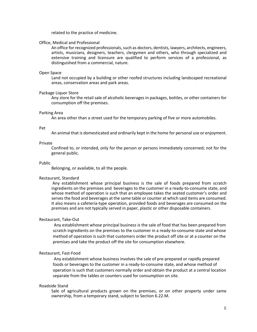related to the practice of medicine.

## Office, Medical and Professional

An office for recognized professionals, such as doctors, dentists, lawyers, architects, engineers, artists, musicians, designers, teachers, clergymen and others, who through specialized and extensive training and licensure are qualified to perform services of a professional, as distinguished from a commercial, nature.

## Open Space

Land not occupied by a building or other roofed structures including landscaped recreational areas, conservation areas and park areas.

## Package Liquor Store

Any store for the retail sale of alcoholic beverages in packages, bottles, or other containers for consumption off the premises.

## Parking Area

An area other than a street used for the temporary parking of five or more automobiles.

#### Pet

An animal that is domesticated and ordinarily kept in the home for personal use or enjoyment.

## Private

Confined to, or intended, only for the person or persons immediately concerned; not for the general public.

#### Public

Belonging, or available, to all the people.

## Restaurant, Standard

Any establishment whose principal business is the sale of foods prepared from scratch ingredients on the premises and beverages to the customer in a ready-to-consume state, and whose method of operation is such that an employee takes the seated customer's order and serves the food and beverages at the same table or counter at which said items are consumed. It also means a cafeteria-type operation, provided foods and beverages are consumed on the premises and are not typically served in paper, plastic or other disposable containers.

## Restaurant, Take-Out

Any establishment whose principal business is the sale of food that has been prepared from scratch ingredients on the premises to the customer in a ready-to-consume state and whose method of operation is such that customers order the product off site or at a counter on the premises and take the product off the site for consumption elsewhere.

## Restaurant, Fast-Food

Any establishment whose business involves the sale of pre-prepared or rapidly prepared foods or beverages to the customer in a ready-to-consume state, and whose method of operation is such that customers normally order and obtain the product at a central location separate from the tables or counters used for consumption on site.

#### Roadside Stand

Sale of agricultural products grown on the premises, or on other property under same ownership, from a temporary stand, subject to Section 6.22.M.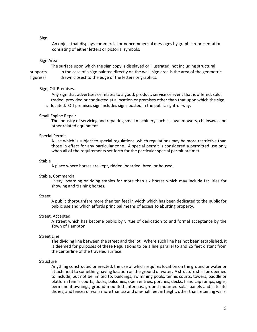Sign

 An object that displays commercial or noncommercial messages by graphic representation consisting of either letters or pictorial symbols.

## Sign Area

 The surface upon which the sign copy is displayed or illustrated, not including structural supports. In the case of a sign painted directly on the wall, sign area is the area of the geometric figure(s) drawn closest to the edge of the letters or graphics.

## Sign, Off-Premises.

 Any sign that advertises or relates to a good, product, service or event that is offered, sold, traded, provided or conducted at a location or premises other than that upon which the sign is located. Off premises sign includes signs posted in the public right-of-way.

## Small Engine Repair

The industry of servicing and repairing small machinery such as lawn mowers, chainsaws and other related equipment.

## Special Permit

A use which is subject to special regulations, which regulations may be more restrictive than those in effect for any particular zone. A special permit is considered a permitted use only when all of the requirements set forth for the particular special permit are met.

## Stable

A place where horses are kept, ridden, boarded, bred, or housed.

#### Stable, Commercial

Livery, boarding or riding stables for more than six horses which may include facilities for showing and training horses.

## Street

A public thoroughfare more than ten feet in width which has been dedicated to the public for public use and which affords principal means of access to abutting property.

#### Street, Accepted

A street which has become public by virtue of dedication to and formal acceptance by the Town of Hampton.

#### Street Line

The dividing line between the street and the lot. Where such line has not been established, it is deemed for purposes of these Regulations to be a line parallel to and 25 feet distant from the centerline of the traveled surface.

#### Structure

Anything constructed or erected, the use of which requires location on the ground or water or attachment to something having location on the ground or water. A structure shall be deemed to include, but not be limited to: buildings, swimming pools, tennis courts, towers, paddle or platform tennis courts, docks, balconies, open entries, porches, decks, handicap ramps, signs, permanent awnings, ground-mounted antennas, ground-mounted solar panels and satellite dishes, and fences or walls more than six and one-half feet in height, other than retaining walls.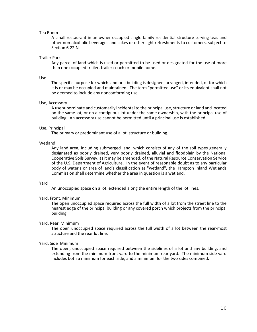## Tea Room

A small restaurant in an owner-occupied single-family residential structure serving teas and other non-alcoholic beverages and cakes or other light refreshments to customers, subject to Section 6.22.N.

#### Trailer Park

Any parcel of land which is used or permitted to be used or designated for the use of more than one occupied trailer, trailer coach or mobile home.

#### Use

The specific purpose for which land or a building is designed, arranged, intended, or for which it is or may be occupied and maintained. The term "permitted use" or its equivalent shall not be deemed to include any nonconforming use.

#### Use, Accessory

A use subordinate and customarily incidental to the principal use, structure or land and located on the same lot, or on a contiguous lot under the same ownership, with the principal use of building. An accessory use cannot be permitted until a principal use is established.

#### Use, Principal

The primary or predominant use of a lot, structure or building.

#### Wetland

Any land area, including submerged land, which consists of any of the soil types generally designated as poorly drained, very poorly drained, alluvial and floodplain by the National Cooperative Soils Survey, as it may be amended, of the Natural Resource Conservation Service of the U.S. Department of Agriculture. In the event of reasonable doubt as to any particular body of water's or area of land's classification as "wetland", the Hampton Inland Wetlands Commission shall determine whether the area in question is a wetland.

#### Yard

An unoccupied space on a lot, extended along the entire length of the lot lines.

## Yard, Front, Minimum

The open unoccupied space required across the full width of a lot from the street line to the nearest edge of the principal building or any covered porch which projects from the principal building.

## Yard, Rear Minimum

The open unoccupied space required across the full width of a lot between the rear-most structure and the rear lot line.

#### Yard, Side Minimum

The open, unoccupied space required between the sidelines of a lot and any building, and extending from the minimum front yard to the minimum rear yard. The minimum side yard includes both a minimum for each side, and a minimum for the two sides combined.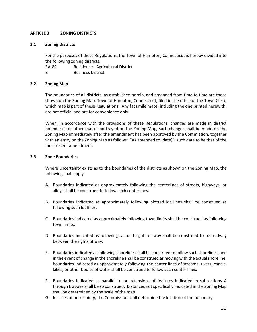# **ARTICLE 3 ZONING DISTRICTS**

# **3.1 Zoning Districts**

For the purposes of these Regulations, the Town of Hampton, Connecticut is hereby divided into the following zoning districts:

RA-80 Residence - Agricultural District

B Business District

# **3.2 Zoning Map**

The boundaries of all districts, as established herein, and amended from time to time are those shown on the Zoning Map, Town of Hampton, Connecticut, filed in the office of the Town Clerk, which map is part of these Regulations. Any facsimile maps, including the one printed herewith, are not official and are for convenience only.

When, in accordance with the provisions of these Regulations, changes are made in district boundaries or other matter portrayed on the Zoning Map, such changes shall be made on the Zoning Map immediately after the amendment has been approved by the Commission, together with an entry on the Zoning Map as follows: "As amended to (date)", such date to be that of the most recent amendment.

# **3.3 Zone Boundaries**

Where uncertainty exists as to the boundaries of the districts as shown on the Zoning Map, the following shall apply:

- A. Boundaries indicated as approximately following the centerlines of streets, highways, or alleys shall be construed to follow such centerlines.
- B. Boundaries indicated as approximately following plotted lot lines shall be construed as following such lot lines.
- C. Boundaries indicated as approximately following town limits shall be construed as following town limits;
- D. Boundaries indicated as following railroad rights of way shall be construed to be midway between the rights of way.
- E. Boundaries indicated as following shorelines shall be construed to follow such shorelines, and in the event of change in the shoreline shall be construed as moving with the actual shoreline; boundaries indicated as approximately following the center lines of streams, rivers, canals, lakes, or other bodies of water shall be construed to follow such center lines.
- F. Boundaries indicated as parallel to or extensions of features indicated in subsections A through E above shall be so construed. Distances not specifically indicated in the Zoning Map shall be determined by the scale of the map.
- G. In cases of uncertainty, the Commission shall determine the location of the boundary.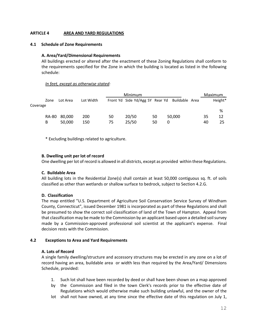# **ARTICLE 4 AREA AND YARD REGULATIONS**

## **4.1 Schedule of Zone Requirements**

## **A. Area/Yard/Dimensional Requirements**

All buildings erected or altered after the enactment of these Zoning Regulations shall conform to the requirements specified for the Zone in which the building is located as listed in the following schedule:

## *In feet, except as otherwise stated:*

|          |       |          |           |    | Minimum                                        |    |        |    | Maximum |
|----------|-------|----------|-----------|----|------------------------------------------------|----|--------|----|---------|
|          | Zone  | Lot Area | Lot Width |    | Front Yd Side Yd/Agg SY Rear Yd Buildable Area |    |        |    | Height* |
| Coverage |       |          |           |    |                                                |    |        |    |         |
|          |       |          |           |    |                                                |    |        |    | %       |
|          | RA-80 | 80,000   | 200       | 50 | 20/50                                          | 50 | 50,000 | 35 | 12      |
|          | в     | 50.000   | 150       | 75 | 25/50                                          | 50 | 0      | 40 | 25      |

\* Excluding buildings related to agriculture.

# **B. Dwelling unit per lot of record**

One dwelling per lot of record is allowed in all districts, except as provided within these Regulations.

# **C. Buildable Area**

All building lots in the Residential Zone(s) shall contain at least 50,000 contiguous sq. ft. of soils classified as other than wetlands or shallow surface to bedrock, subject to Section 4.2.G.

# **D. Classification**

The map entitled "U.S. Department of Agriculture Soil Conservation Service Survey of Windham County, Connecticut", issued December 1981 is incorporated as part of these Regulations and shall be presumed to show the correct soil classification of land of the Town of Hampton. Appeal from that classification may be made to the Commission by an applicant based upon a detailed soil survey made by a Commission-approved professional soil scientist at the applicant's expense. Final decision rests with the Commission.

## **4.2 Exceptions to Area and Yard Requirements**

## **A. Lots of Record**

A single family dwelling/structure and accessory structures may be erected in any zone on a lot of record having an area, buildable area or width less than required by the Area/Yard/ Dimensions Schedule, provided:

- 1. Such lot shall have been recorded by deed or shall have been shown on a map approved
- by the Commission and filed in the town Clerk's records prior to the effective date of Regulations which would otherwise make such building unlawful, and the owner of the
- lot shall not have owned, at any time since the effective date of this regulation on July 1,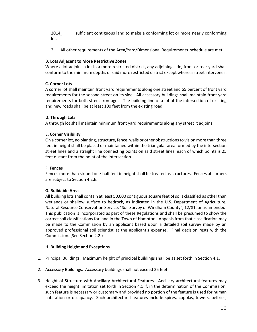2014, sufficient contiguous land to make a conforming lot or more nearly conforming lot.

2. All other requirements of the Area/Yard/Dimensional Requirements schedule are met.

# **B. Lots Adjacent to More Restrictive Zones**

Where a lot adjoins a lot in a more restricted district, any adjoining side, front or rear yard shall conform to the minimum depths of said more restricted district except where a street intervenes.

# **C. Corner Lots**

A corner lot shall maintain front yard requirements along one street and 65 percent of front yard requirements for the second street on its side. All accessory buildings shall maintain front yard requirements for both street frontages. The building line of a lot at the intersection of existing and new roads shall be at least 100 feet from the existing road.

# **D. Through Lots**

A through lot shall maintain minimum front yard requirements along any street it adjoins.

# **E. Corner Visibility**

On a corner lot, no planting, structure, fence, walls or other obstructions to vision more than three feet in height shall be placed or maintained within the triangular area formed by the intersection street lines and a straight line connecting points on said street lines, each of which points is 25 feet distant from the point of the intersection.

# **F. Fences**

Fences more than six and one-half feet in height shall be treated as structures. Fences at corners are subject to Section 4.2.E.

# **G. Buildable Area**

All building lots shall contain at least 50,000 contiguous square feet of soils classified as other than wetlands or shallow surface to bedrock, as indicated in the U.S. Department of Agriculture, Natural Resource Conservation Service, "Soil Survey of Windham County", 12/81, or as amended. This publication is incorporated as part of these Regulations and shall be presumed to show the correct soil classifications for land in the Town of Hampton. Appeals from that classification may be made to the Commission by an applicant based upon a detailed soil survey made by an approved professional soil scientist at the applicant's expense. Final decision rests with the Commission. (See Section 2.2.)

# **H. Building Height and Exceptions**

- 1. Principal Buildings. Maximum height of principal buildings shall be as set forth in Section 4.1.
- 2. Accessory Buildings. Accessory buildings shall not exceed 25 feet.
- 3. Height of Structure with Ancillary Architectural Features. Ancillary architectural features may exceed the height limitation set forth in Section 4.1 if, in the determination of the Commission, such feature is necessary or customary and provided no portion of the feature is used for human habitation or occupancy. Such architectural features include spires, cupolas, towers, belfries,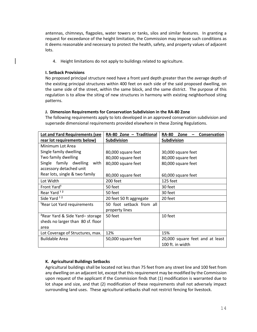antennas, chimneys, flagpoles, water towers or tanks, silos and similar features. In granting a request for exceedance of the height limitation, the Commission may impose such conditions as it deems reasonable and necessary to protect the health, safety, and property values of adjacent lots.

4. Height limitations do not apply to buildings related to agriculture.

# **I. Setback Provisions**

No proposed principal structure need have a front yard depth greater than the average depth of the existing principal structures within 400 feet on each side of the said proposed dwelling, on the same side of the street, within the same block, and the same district. The purpose of this regulation is to allow the siting of new structures in harmony with existing neighborhood siting patterns.

# **J. Dimension Requirements for Conservation Subdivision in the RA-80 Zone**

The following requirements apply to lots developed in an approved conservation subdivision and supersede dimensional requirements provided elsewhere in these Zoning Regulations.

| <b>Lot and Yard Requirements (see</b>      | RA-80 Zone - Traditional | <b>RA-80</b><br>Zone<br>Conservation |  |  |  |
|--------------------------------------------|--------------------------|--------------------------------------|--|--|--|
| rear lot requirements below)               | Subdivision              | <b>Subdivision</b>                   |  |  |  |
| Minimum Lot Area                           |                          |                                      |  |  |  |
| Single family dwelling                     | 80,000 square feet       | 30,000 square feet                   |  |  |  |
| Two family dwelling                        | 80,000 square feet       | 80,000 square feet                   |  |  |  |
| Single family dwelling<br>with             | 80,000 square feet       | 80,000 square feet                   |  |  |  |
| accessory detached unit                    |                          |                                      |  |  |  |
| Rear lots, single & two family             | 80,000 square feet       | 60,000 square feet                   |  |  |  |
| Lot Width                                  | 200 feet                 | 125 feet                             |  |  |  |
| Front Yard <sup>1</sup>                    | 50 feet                  | 30 feet                              |  |  |  |
| Rear Yard <sup>12</sup>                    | 50 feet                  | 30 feet                              |  |  |  |
| Side Yard <sup>12</sup>                    | 20 feet 50 ft aggregate  | 20 feet                              |  |  |  |
| <sup>1</sup> Rear Lot Yard requirements    | 50 foot setback from all |                                      |  |  |  |
|                                            | property lines           |                                      |  |  |  |
| <sup>2</sup> Rear Yard & Side Yard-storage | 50 feet                  | 10 feet                              |  |  |  |
| sheds no larger than 80 sf. floor          |                          |                                      |  |  |  |
| area                                       |                          |                                      |  |  |  |
| Lot Coverage of Structures, max.           | 12%                      | 15%                                  |  |  |  |
| <b>Buildable Area</b>                      | 50,000 square feet       | 20,000 square feet and at least      |  |  |  |
|                                            |                          | 100 ft. in width                     |  |  |  |

# **K. Agricultural Buildings Setbacks**

Agricultural buildings shall be located not less than 75 feet from any street line and 100 feet from any dwelling on an adjacent lot, except that this requirement may be modified by the Commission upon request of the applicant if the Commission finds that (1) modification is warranted due to lot shape and size, and that (2) modification of these requirements shall not adversely impact surrounding land uses. These agricultural setbacks shall not restrict fencing for livestock.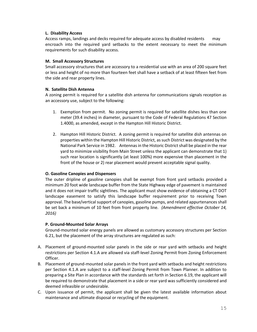# **L. Disability Access**

Access ramps, landings and decks required for adequate access by disabled residents may encroach into the required yard setbacks to the extent necessary to meet the minimum requirements for such disability access.

# **M. Small Accessory Structures**

Small accessory structures that are accessory to a residential use with an area of 200 square feet or less and height of no more than fourteen feet shall have a setback of at least fifteen feet from the side and rear property lines.

# **N. Satellite Dish Antenna**

A zoning permit is required for a satellite dish antenna for communications signals reception as an accessory use, subject to the following:

- 1. Exemption from permit. No zoning permit is required for satellite dishes less than one meter (39.4 inches) in diameter, pursuant to the Code of Federal Regulations 47 Section 1.4000, as amended, except in the Hampton Hill Historic District.
- 2. Hampton Hill Historic District. A zoning permit is required for satellite dish antennas on properties within the Hampton Hill Historic District, as such District was designated by the National Park Service in 1982. Antennas in the Historic District shall be placed in the rear yard to minimize visibility from Main Street unless the applicant can demonstrate that 1) such rear location is significantly (at least 100%) more expensive than placement in the front of the house or 2) rear placement would prevent acceptable signal quality.

# **O. Gasoline Canopies and Dispensers**

The outer dripline of gasoline canopies shall be exempt from front yard setbacks provided a minimum 20 foot wide landscape buffer from the State Highway edge of pavement is maintained and it does not impair traffic sightlines. The applicant must show evidence of obtaining a CT DOT landscape easement to satisfy this landscape buffer requirement prior to receiving Town approval. The base/vertical support of canopies, gasoline pumps, and related appurtenances shall be set back a minimum of 10 feet from front property line. *(Amendment effective October 14, 2016)*

# **P. Ground-Mounted Solar Arrays**

Ground-mounted solar energy panels are allowed as customary accessory structures per Section 6.21, but the placement of the array structures are regulated as such:

- A. Placement of ground-mounted solar panels in the side or rear yard with setbacks and height restrictions per Section 4.1.A are allowed via staff-level Zoning Permit from Zoning Enforcement Officer.
- B. Placement of ground-mounted solar panels in the front yard with setbacks and height restrictions per Section 4.1.A are subject to a staff-level Zoning Permit from Town Planner. In addition to preparing a Site Plan in accordance with the standards set forth in Section 6.19, the applicant will be required to demonstrate that placement in a side or rear yard was sufficiently considered and deemed infeasible or undesirable.
- C. Upon issuance of permit, the applicant shall be given the latest available information about maintenance and ultimate disposal or recycling of the equipment.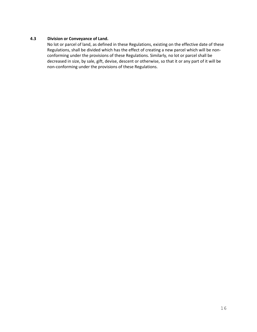# **4.3 Division or Conveyance of Land.**

No lot or parcel of land, as defined in these Regulations, existing on the effective date of these Regulations, shall be divided which has the effect of creating a new parcel which will be nonconforming under the provisions of these Regulations. Similarly, no lot or parcel shall be decreased in size, by sale, gift, devise, descent or otherwise, so that it or any part of it will be non-conforming under the provisions of these Regulations.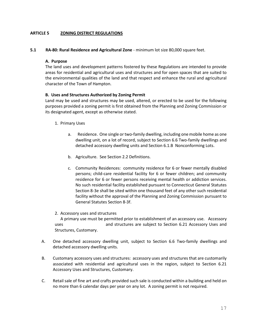# **ARTICLE 5 ZONING DISTRICT REGULATIONS**

**5.1 RA-80: Rural Residence and Agricultural Zone** - minimum lot size 80,000 square feet.

## **A. Purpose**

The land uses and development patterns fostered by these Regulations are intended to provide areas for residential and agricultural uses and structures and for open spaces that are suited to the environmental qualities of the land and that respect and enhance the rural and agricultural character of the Town of Hampton.

# **B. Uses and Structures Authorized by Zoning Permit**

Land may be used and structures may be used, altered, or erected to be used for the following purposes provided a zoning permit is first obtained from the Planning and Zoning Commission or its designated agent, except as otherwise stated.

- 1. Primary Uses
	- a. Residence. One single or two-family dwelling, including one mobile home as one dwelling unit, on a lot of record, subject to Section 6.6 Two-family dwellings and detached accessory dwelling units and Section 6.1.B Nonconforming Lots.
	- b. Agriculture. See Section 2.2 Definitions.
	- c. Community Residences: community residence for 6 or fewer mentally disabled persons; child-care residential facility for 6 or fewer children; and community residence for 6 or fewer persons receiving mental health or addiction services. No such residential facility established pursuant to Connecticut General Statutes Section 8-3e shall be sited within one thousand feet of any other such residential facility without the approval of the Planning and Zoning Commission pursuant to General Statutes Section 8-3f.
- 2. Accessory uses and structures

A primary use must be permitted prior to establishment of an accessory use. Accessory uses and structures are subject to Section 6.21 Accessory Uses and Structures, Customary.

- A. One detached accessory dwelling unit, subject to Section 6.6 Two-family dwellings and detached accessory dwelling units.
- B. Customary accessory uses and structures: accessory uses and structures that are customarily associated with residential and agricultural uses in the region, subject to Section 6.21 Accessory Uses and Structures, Customary.
- C. Retail sale of fine art and crafts provided such sale is conducted within a building and held on no more than 6 calendar days per year on any lot. A zoning permit is not required.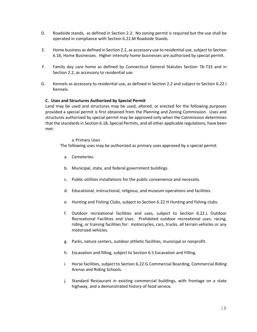- D. Roadside stands, as defined in Section 2.2. No zoning permit is required but the use shall be operated in compliance with Section 6.22.M Roadside Stands.
- E. Home business as defined in Section 2.2, as accessory use to residential use, subject to Section 6.16, Home Businesses. Higher intensity home businesses are authorized by special permit.
- F. Family day care home as defined by Connecticut General Statutes Section 7b-733 and in Section 2.2, as accessory to residential use.
- G. Kennels as accessory to residential use, as defined in Section 2.2 and subject to Section 6.22.I Kennels.

# **C. Uses and Structures Authorized by Special Permit**

Land may be used and structures may be used, altered, or erected for the following purposes provided a special permit is first obtained from the Planning and Zoning Commission. Uses and structures authorized by special permit may be approved only when the Commission determines that the standards in Section 6.18, Special Permits, and all other applicable regulations, have been met.

## a.Primary Uses

The following uses may be authorized as primary uses approved by a special permit.

- a. Cemeteries.
- b. Municipal, state, and federal government buildings.
- c. Public utilities installations for the public convenience and necessity.
- d. Educational, instructional, religious, and museum operations and facilities.
- e. Hunting and Fishing Clubs, subject to Section 6.22.H Hunting and fishing clubs.
- f. Outdoor recreational facilities and uses, subject to Section 6.22.L Outdoor Recreational Facilities and Uses. Prohibited outdoor recreational uses: racing, riding, or training facilities for: motorcycles, cars, trucks, all terrain vehicles or any motorized vehicles.
- g. Parks, nature centers, outdoor athletic facilities, municipal or nonprofit.
- h. Excavation and filling, subject to Section 6.5 Excavation and Filling.
- i. Horse facilities, subject to Section 6.22.G Commercial Boarding, Commercial Riding Arenas and Riding Schools.
- j. Standard Restaurant in existing commercial buildings, with frontage on a state highway, and a demonstrated history of food service.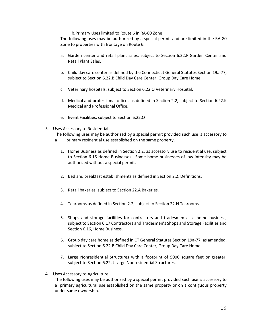## b.Primary Uses limited to Route 6 in RA-80 Zone

The following uses may be authorized by a special permit and are limited in the RA-80 Zone to properties with frontage on Route 6.

- a. Garden center and retail plant sales, subject to Section 6.22.F Garden Center and Retail Plant Sales.
- b. Child day care center as defined by the Connecticut General Statutes Section 19a-77, subject to Section 6.22.B Child Day Care Center, Group Day Care Home.
- c. Veterinary hospitals, subject to Section 6.22.O Veterinary Hospital.
- d. Medical and professional offices as defined in Section 2.2, subject to Section 6.22.K Medical and Professional Office.
- e. Event Facilities, subject to Section 6.22.Q
- 3. Uses Accessory to Residential

The following uses may be authorized by a special permit provided such use is accessory to

- a primary residential use established on the same property.
	- 1. Home Business as defined in Section 2.2, as accessory use to residential use, subject to Section 6.16 Home Businesses. Some home businesses of low intensity may be authorized without a special permit.
	- 2. Bed and breakfast establishments as defined in Section 2.2, Definitions.
	- 3. Retail bakeries, subject to Section 22.A Bakeries.
	- 4. Tearooms as defined in Section 2.2, subject to Section 22.N Tearooms.
	- 5. Shops and storage facilities for contractors and tradesmen as a home business, subject to Section 6.17 Contractors and Tradesmen's Shops and Storage Facilities and Section 6.16, Home Business.
	- 6. Group day care home as defined in CT General Statutes Section 19a-77, as amended, subject to Section 6.22.B Child Day Care Center, Group Day Care Home.
	- 7. Large Nonresidential Structures with a footprint of 5000 square feet or greater, subject to Section 6.22. J Large Nonresidential Structures.
- 4. Uses Accessory to Agriculture

The following uses may be authorized by a special permit provided such use is accessory to a primary agricultural use established on the same property or on a contiguous property under same ownership.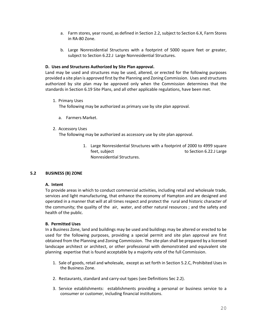- a. Farm stores, year round, as defined in Section 2.2, subject to Section 6.X, Farm Stores in RA-80 Zone.
- b. Large Nonresidential Structures with a footprint of 5000 square feet or greater, subject to Section 6.22.J Large Nonresidential Structures.

## **D. Uses and Structures Authorized by Site Plan approval.**

Land may be used and structures may be used, altered, or erected for the following purposes provided a site plan is approved first by the Planning and Zoning Commission. Uses and structures authorized by site plan may be approved only when the Commission determines that the standards in Section 6.19 Site Plans, and all other applicable regulations, have been met.

1. Primary Uses

The following may be authorized as primary use by site plan approval.

- a. Farmers Market.
- 2. Accessory Uses

The following may be authorized as accessory use by site plan approval.

1. Large Nonresidential Structures with a footprint of 2000 to 4999 square feet, subject to Section 6.22.J Large Nonresidential Structures.

# **5.2 BUSINESS (B) ZONE**

# **A. Intent**

To provide areas in which to conduct commercial activities, including retail and wholesale trade, services and light manufacturing, that enhance the economy of Hampton and are designed and operated in a manner that will at all times respect and protect the rural and historic character of the community; the quality of the air, water, and other natural resources ; and the safety and health of the public.

# **B. Permitted Uses**

In a Business Zone, land and buildings may be used and buildings may be altered or erected to be used for the following purposes, providing a special permit and site plan approval are first obtained from the Planning and Zoning Commission. The site plan shall be prepared by a licensed landscape architect or architect, or other professional with demonstrated and equivalent site planning expertise that is found acceptable by a majority vote of the full Commission.

- 1. Sale of goods, retail and wholesale, except as set forth in Section 5.2.C, Prohibited Uses in the Business Zone.
- 2. Restaurants, standard and carry-out types (see Definitions Sec 2.2).
- 3. Service establishments: establishments providing a personal or business service to a consumer or customer, including financial institutions.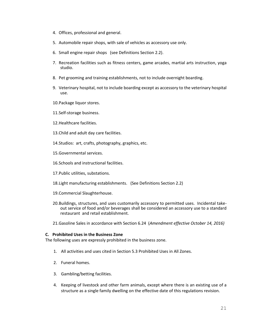- 4. Offices, professional and general.
- 5. Automobile repair shops, with sale of vehicles as accessory use only.
- 6. Small engine repair shops (see Definitions Section 2.2).
- 7. Recreation facilities such as fitness centers, game arcades, martial arts instruction, yoga studio.
- 8. Pet grooming and training establishments, not to include overnight boarding.
- 9. Veterinary hospital, not to include boarding except as accessory to the veterinary hospital use.
- 10.Package liquor stores.
- 11.Self-storage business.
- 12.Healthcare facilities.
- 13.Child and adult day care facilities.
- 14.Studios: art, crafts, photography, graphics, etc.
- 15.Governmental services.
- 16.Schools and instructional facilities.
- 17.Public utilities, substations.
- 18.Light manufacturing establishments. (See Definitions Section 2.2)
- 19.Commercial Slaughterhouse.
- 20.Buildings, structures, and uses customarily accessory to permitted uses. Incidental takeout service of food and/or beverages shall be considered an accessory use to a standard restaurant and retail establishment.
- 21.Gasoline Sales in accordance with Section 6.24 (*Amendment effective October 14, 2016)*

## **C. Prohibited Uses in the Business Zone**

The following uses are expressly prohibited in the business zone.

- 1. All activities and uses cited in Section 5.3 Prohibited Uses in All Zones.
- 2. Funeral homes.
- 3. Gambling/betting facilities.
- 4. Keeping of livestock and other farm animals, except where there is an existing use of a structure as a single family dwelling on the effective date of this regulations revision.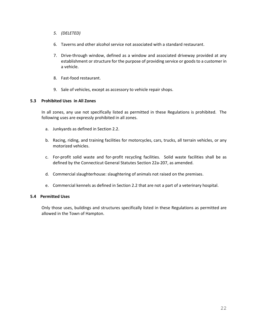- *5. (DELETED)*
- 6. Taverns and other alcohol service not associated with a standard restaurant.
- 7. Drive-through window, defined as a window and associated driveway provided at any establishment or structure for the purpose of providing service or goods to a customer in a vehicle.
- 8. Fast-food restaurant.
- 9. Sale of vehicles, except as accessory to vehicle repair shops.

# **5.3 Prohibited Uses in All Zones**

In all zones, any use not specifically listed as permitted in these Regulations is prohibited. The following uses are expressly prohibited in all zones.

- a. Junkyards as defined in Section 2.2.
- b. Racing, riding, and training facilities for motorcycles, cars, trucks, all terrain vehicles, or any motorized vehicles.
- c. For-profit solid waste and for-profit recycling facilities. Solid waste facilities shall be as defined by the Connecticut General Statutes Section 22a-207, as amended.
- d. Commercial slaughterhouse: slaughtering of animals not raised on the premises.
- e. Commercial kennels as defined in Section 2.2 that are not a part of a veterinary hospital.

# **5.4 Permitted Uses**

Only those uses, buildings and structures specifically listed in these Regulations as permitted are allowed in the Town of Hampton.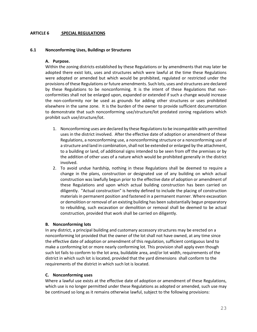# **ARTICLE 6 SPECIAL REGULATIONS**

## **6.1 Nonconforming Uses, Buildings or Structures**

## **A. Purpose.**

Within the zoning districts established by these Regulations or by amendments that may later be adopted there exist lots, uses and structures which were lawful at the time these Regulations were adopted or amended but which would be prohibited, regulated or restricted under the provisions of these Regulations or future amendments. Such lots, uses and structures are declared by these Regulations to be nonconforming. It is the intent of these Regulations that nonconformities shall not be enlarged upon, expanded or extended if such a change would increase the non-conformity nor be used as grounds for adding other structures or uses prohibited elsewhere in the same zone. It is the burden of the owner to provide sufficient documentation to demonstrate that such nonconforming use/structure/lot predated zoning regulations which prohibit such use/structure/lot.

- 1. Nonconforming uses are declared by these Regulations to be incompatible with permitted uses in the district involved. After the effective date of adoption or amendment of these Regulations, a nonconforming use, a nonconforming structure or a nonconforming use of a structure and land in combination, shall not be extended or enlarged by the attachment, to a building or land, of additional signs intended to be seen from off the premises or by the addition of other uses of a nature which would be prohibited generally in the district involved.
- 2. To avoid undue hardship, nothing in these Regulations shall be deemed to require a change in the plans, construction or designated use of any building on which actual construction was lawfully begun prior to the effective date of adoption or amendment of these Regulations and upon which actual building construction has been carried on diligently. "Actual construction" is hereby defined to include the placing of construction materials in permanent position and fastened in a permanent manner. Where excavation or demolition or removal of an existing building has been substantially begun preparatory to rebuilding, such excavation or demolition or removal shall be deemed to be actual construction, provided that work shall be carried on diligently.

# **B. Nonconforming lots**

In any district, a principal building and customary accessory structures may be erected on a nonconforming lot provided that the owner of the lot shall not have owned, at any time since the effective date of adoption or amendment of this regulation, sufficient contiguous land to make a conforming lot or more nearly conforming lot. This provision shall apply even though such lot fails to conform to the lot area, buildable area, and/or lot width, requirements of the district in which such lot is located, provided that the yard dimensions shall conform to the requirements of the district in which such lot is located.

# **C. Nonconforming uses**

 Where a lawful use exists at the effective date of adoption or amendment of these Regulations, which use is no longer permitted under these Regulations as adopted or amended, such use may be continued so long as it remains otherwise lawful, subject to the following provisions: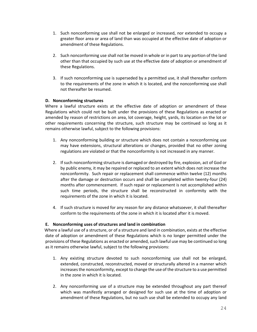- 1. Such nonconforming use shall not be enlarged or increased, nor extended to occupy a greater floor area or area of land than was occupied at the effective date of adoption or amendment of these Regulations.
- 2. Such nonconforming use shall not be moved in whole or in part to any portion of the land other than that occupied by such use at the effective date of adoption or amendment of these Regulations.
- 3. If such nonconforming use is superseded by a permitted use, it shall thereafter conform to the requirements of the zone in which it is located, and the nonconforming use shall not thereafter be resumed.

# **D. Nonconforming structures**

 Where a lawful structure exists at the effective date of adoption or amendment of these Regulations which could not be built under the provisions of these Regulations as enacted or amended by reason of restrictions on area, lot coverage, height, yards, its location on the lot or other requirements concerning the structure, such structure may be continued so long as it remains otherwise lawful, subject to the following provisions:

- 1. Any nonconforming building or structure which does not contain a nonconforming use may have extensions, structural alterations or changes, provided that no other zoning regulations are violated or that the nonconformity is not increased in any manner.
- 2. If such nonconforming structure is damaged or destroyed by fire, explosion, act of God or by public enemy, it may be repaired or replaced to an extent which does not increase the nonconformity. Such repair or replacement shall commence within twelve (12) months after the damage or destruction occurs and shall be completed within twenty-four (24) months after commencement. If such repair or replacement is not accomplished within such time periods, the structure shall be reconstructed in conformity with the requirements of the zone in which it is located.
- 4. If such structure is moved for any reason for any distance whatsoever, it shall thereafter conform to the requirements of the zone in which it is located after it is moved.

# **E. Nonconforming uses of structures and land in combination**

Where a lawful use of a structure, or of a structure and land in combination, exists at the effective date of adoption or amendment of these Regulations which is no longer permitted under the provisions of these Regulations as enacted or amended, such lawful use may be continued so long as it remains otherwise lawful, subject to the following provisions:

- 1. Any existing structure devoted to such nonconforming use shall not be enlarged, extended, constructed, reconstructed, moved or structurally altered in a manner which increases the nonconformity, except to change the use of the structure to a use permitted in the zone in which it is located.
- 2. Any nonconforming use of a structure may be extended throughout any part thereof which was manifestly arranged or designed for such use at the time of adoption or amendment of these Regulations, but no such use shall be extended to occupy any land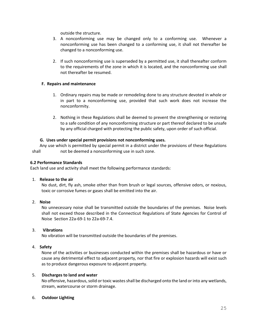outside the structure.

- 3. A nonconforming use may be changed only to a conforming use. Whenever a nonconforming use has been changed to a conforming use, it shall not thereafter be changed to a nonconforming use.
- 2. If such nonconforming use is superseded by a permitted use, it shall thereafter conform to the requirements of the zone in which it is located, and the nonconforming use shall not thereafter be resumed.

## **F. Repairs and maintenance**

- 1. Ordinary repairs may be made or remodeling done to any structure devoted in whole or in part to a nonconforming use, provided that such work does not increase the nonconformity.
- 2. Nothing in these Regulations shall be deemed to prevent the strengthening or restoring to a safe condition of any nonconforming structure or part thereof declared to be unsafe by any official charged with protecting the public safety, upon order of such official.

# **G. Uses under special permit provisions not nonconforming uses.**

 Any use which is permitted by special permit in a district under the provisions of these Regulations shall not be deemed a nonconforming use in such zone.

## **6.2 Performance Standards**

Each land use and activity shall meet the following performance standards:

# 1. **Release to the air**

No dust, dirt, fly ash, smoke other than from brush or legal sources, offensive odors, or noxious, toxic or corrosive fumes or gases shall be emitted into the air.

# 2. **Noise**

No unnecessary noise shall be transmitted outside the boundaries of the premises. Noise levels shall not exceed those described in the Connecticut Regulations of State Agencies for Control of Noise Section 22a-69-1 to 22a-69-7.4.

# 3. **Vibrations**

No vibration will be transmitted outside the boundaries of the premises.

# 4. **Safety**

None of the activities or businesses conducted within the premises shall be hazardous or have or cause any detrimental effect to adjacent property, nor that fire or explosion hazards will exist such as to produce dangerous exposure to adjacent property.

## 5. **Discharges to land and water**

No offensive, hazardous, solid or toxic wastes shall be discharged onto the land or into any wetlands, stream, watercourse or storm drainage.

## 6. **Outdoor Lighting**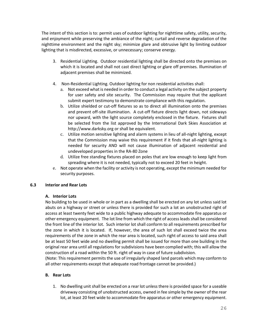The intent of this section is to: permit uses of outdoor lighting for nighttime safety, utility, security, and enjoyment while preserving the ambiance of the night; curtail and reverse degradation of the nighttime environment and the night sky; minimize glare and obtrusive light by limiting outdoor lighting that is misdirected, excessive, or unnecessary; conserve energy.

- 3. Residential Lighting. Outdoor residential lighting shall be directed onto the premises on which it is located and shall not cast direct lighting or glare off premises. Illumination of adjacent premises shall be minimized.
- 4. Non-Residential Lighting. Outdoor lighting for non residential activities shall:
	- a. Not exceed what is needed in order to conduct a legal activity on the subject property for user safety and site security. The Commission may require that the applicant submit expert testimony to demonstrate compliance with this regulation.
	- b. Utilize shielded or cut-off fixtures so as to direct all illumination onto the premises and prevent off-site illumination. A cut-off fixture directs light down, not sideways nor upward, with the light source completely enclosed in the fixture. Fixtures shall be selected from the list approved by the International Dark Skies Association at [http://www.darksky.org](http://www.darksky.org/) or shall be equivalent.
	- c. Utilize motion sensitive lighting and alarm systems in lieu of all-night lighting, except that the Commission may waive this requirement if it finds that all-night lighting is needed for security AND will not cause illumination of adjacent residential and undeveloped properties in the RA-80 Zone
	- d. Utilize free standing fixtures placed on poles that are low enough to keep light from spreading where it is not needed, typically not to exceed 20 feet in height.
- e. Not operate when the facility or activity is not operating, except the minimum needed for security purposes.

# **6.3 Interior and Rear Lots**

# **A. Interior Lots**

No building to be used in whole or in part as a dwelling shall be erected on any lot unless said lot abuts on a highway or street or unless there is provided for such a lot an unobstructed right of access at least twenty feet wide to a public highway adequate to accommodate fire apparatus or other emergency equipment. The lot line from which the right of access leads shall be considered the front line of the interior lot. Such interior lot shall conform to all requirements prescribed for the zone in which it is located. If, however, the area of such lot shall exceed twice the area requirements of the zone in which the rear area is located, such right of access to said area shall be at least 50 feet wide and no dwelling permit shall be issued for more than one building in the original rear area until all regulations for subdivisions have been complied with; this will allow the construction of a road within the 50 ft. right of way in case of future subdivision.

(Note: This requirement permits the use of irregularly shaped land parcels which may conform to all other requirements except that adequate road frontage cannot be provided.)

# **B. Rear Lots**

1. No dwelling unit shall be erected on a rear lot unless there is provided space for a useable driveway consisting of unobstructed access, owned in fee simple by the owner of the rear lot, at least 20 feet wide to accommodate fire apparatus or other emergency equipment.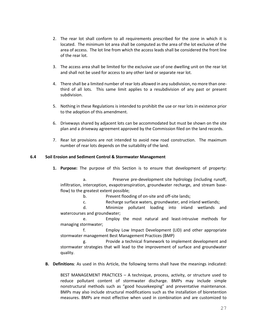- 2. The rear lot shall conform to all requirements prescribed for the zone in which it is located. The minimum lot area shall be computed as the area of the lot exclusive of the area of access. The lot line from which the access leads shall be considered the front line of the rear lot.
- 3. The access area shall be limited for the exclusive use of one dwelling unit on the rear lot and shall not be used for access to any other land or separate rear lot.
- 4. There shall be a limited number of rear lots allowed in any subdivision, no more than onethird of all lots. This same limit applies to a resubdivision of any past or present subdivision.
- 5. Nothing in these Regulations is intended to prohibit the use or rear lots in existence prior to the adoption of this amendment.
- 6. Driveways shared by adjacent lots can be accommodated but must be shown on the site plan and a driveway agreement approved by the Commission filed on the land records.
- 7. Rear lot provisions are not intended to avoid new road construction. The maximum number of rear lots depends on the suitability of the land.

# **6.4 Soil Erosion and Sediment Control & Stormwater Management**

**1. Purpose:** The purpose of this Section is to ensure that development of property:

a. Preserve pre-development site hydrology (including runoff, infiltration, interception, evapotranspiration, groundwater recharge, and stream baseflow) to the greatest extent possible;

b. Prevent flooding of on-site and off-site lands;

c. Recharge surface waters, groundwater, and inland wetlands;

d. Minimize pollutant loading into inland wetlands and watercourses and groundwater;

e. Employ the most natural and least-intrusive methods for managing stormwater;

f. Employ Low Impact Development (LID) and other appropriate stormwater management Best Management Practices (BMP)

g. Provide a technical framework to implement development and stormwater strategies that will lead to the improvement of surface and groundwater quality.

**B. Definitions**: As used in this Article, the following terms shall have the meanings indicated:

BEST MANAGEMENT PRACTICES – A technique, process, activity, or structure used to reduce pollutant content of stormwater discharge. BMPs may include simple nonstructural methods such as "good housekeeping" and preventative maintenance. BMPs may also include structural modifications such as the installation of bioretention measures. BMPs are most effective when used in combination and are customized to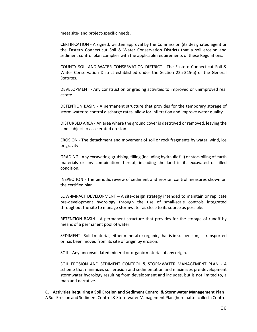meet site- and project-specific needs.

CERTIFICATION - A signed, written approval by the Commission (its designated agent or the Eastern Connecticut Soil & Water Conservation District) that a soil erosion and sediment control plan complies with the applicable requirements of these Regulations.

COUNTY SOIL AND WATER CONSERVATION DISTRICT - The Eastern Connecticut Soil & Water Conservation District established under the Section 22a-315(a) of the General Statutes.

DEVELOPMENT - Any construction or grading activities to improved or unimproved real estate.

DETENTION BASIN - A permanent structure that provides for the temporary storage of storm water to control discharge rates, allow for infiltration and improve water quality.

DISTURBED AREA - An area where the ground cover is destroyed or removed, leaving the land subject to accelerated erosion.

EROSION - The detachment and movement of soil or rock fragments by water, wind, ice or gravity.

GRADING - Any excavating, grubbing, filling (including hydraulic fill) or stockpiling of earth materials or any combination thereof, including the land in its excavated or filled condition.

INSPECTION - The periodic review of sediment and erosion control measures shown on the certified plan.

LOW-IMPACT DEVELOPMENT – A site-design strategy intended to maintain or replicate pre-development hydrology through the use of small-scale controls integrated throughout the site to manage stormwater as close to its source as possible.

RETENTION BASIN - A permanent structure that provides for the storage of runoff by means of a permanent pool of water.

SEDIMENT - Solid material, either mineral or organic, that is in suspension, is transported or has been moved from its site of origin by erosion.

SOIL - Any unconsolidated mineral or organic material of any origin.

SOIL EROSION AND SEDIMENT CONTROL & STORMWATER MANAGEMENT PLAN - A scheme that minimizes soil erosion and sedimentation and maximizes pre-development stormwater hydrology resulting from development and includes, but is not limited to, a map and narrative.

**C. Activities Requiring a Soil Erosion and Sediment Control & Stormwater Management Plan** A Soil Erosion and Sediment Control & Stormwater Management Plan (hereinafter called a Control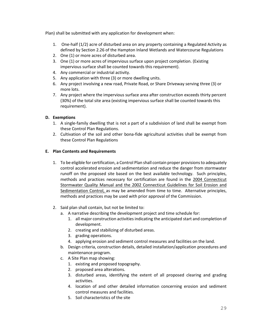Plan) shall be submitted with any application for development when:

- 1. One-half (1/2) acre of disturbed area on any property containing a Regulated Activity as defined by Section 2.26 of the Hampton Inland Wetlands and Watercourse Regulations
- 2. One (1) or more acres of disturbed area.
- 3. One (1) or more acres of impervious surface upon project completion. (Existing impervious surface shall be counted towards this requirement).
- 4. Any commercial or industrial activity.
- 5. Any application with three (3) or more dwelling units.
- 6. Any project involving a new road, Private Road, or Share Driveway serving three (3) or more lots.
- 7. Any project where the impervious surface area after construction exceeds thirty percent (30%) of the total site area (existing impervious surface shall be counted towards this requirement).

# **D. Exemptions**

- 1. A single-family dwelling that is not a part of a subdivision of land shall be exempt from these Control Plan Regulations.
- 2. Cultivation of the soil and other bona-fide agricultural activities shall be exempt from these Control Plan Regulations

# **E. Plan Contents and Requirements**

- 1. To be eligible for certification, a Control Plan shall contain proper provisions to adequately control accelerated erosion and sedimentation and reduce the danger from stormwater runoff on the proposed site based on the best available technology. Such principles, methods and practices necessary for certification are found in the 2004 Connecticut Stormwater Quality Manual and the 2002 Connecticut Guidelines for Soil Erosion and Sedimentation Control, as may be amended from time to time. Alternative principles, methods and practices may be used with prior approval of the Commission.
- 2. Said plan shall contain, but not be limited to:
	- a. A narrative describing the development project and time schedule for:
		- 1. all major construction activities indicating the anticipated start and completion of development.
		- 2. creating and stabilizing of disturbed areas.
		- 3. grading operations.
		- 4. applying erosion and sediment control measures and facilities on the land.
	- b. Design criteria, construction details, detailed installation/application procedures and maintenance program.
	- c. A Site Plan map showing:
		- 1. existing and proposed topography.
		- 2. proposed area alterations.
		- 3. disturbed areas, identifying the extent of all proposed clearing and grading activities.
		- 4. location of and other detailed information concerning erosion and sediment control measures and facilities.
		- 5. Soil characteristics of the site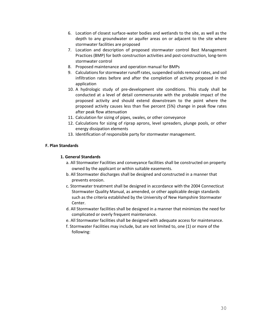- 6. Location of closest surface-water bodies and wetlands to the site, as well as the depth to any groundwater or aquifer areas on or adjacent to the site where stormwater facilities are proposed
- 7. Location and description of proposed stormwater control Best Management Practices (BMP) for both construction activities and post-construction, long-term stormwater control
- 8. Proposed maintenance and operation manual for BMPs
- 9. Calculations for stormwater runoff rates, suspended solids removal rates, and soil infiltration rates before and after the completion of activity proposed in the application
- 10. A hydrologic study of pre-development site conditions. This study shall be conducted at a level of detail commensurate with the probable impact of the proposed activity and should extend downstream to the point where the proposed activity causes less than five percent (5%) change in peak flow rates after peak flow attenuation
- 11. Calculation for sizing of pipes, swales, or other conveyance
- 12. Calculations for sizing of riprap aprons, level spreaders, plunge pools, or other energy dissipation elements
- 13. Identification of responsible party for stormwater management.

# **F. Plan Standards**

# **1. General Standards**

- a. All Stormwater Facilities and conveyance facilities shall be constructed on property owned by the applicant or within suitable easements.
- b. All Stormwater discharges shall be designed and constructed in a manner that prevents erosion.
- c. Stormwater treatment shall be designed in accordance with the 2004 Connecticut Stormwater Quality Manual, as amended, or other applicable design standards such as the criteria established by the University of New Hampshire Stormwater Center.
- d. All Stormwater facilities shall be designed in a manner that minimizes the need for complicated or overly frequent maintenance.
- e. All Stormwater facilities shall be designed with adequate access for maintenance.
- f. Stormwater Facilities may include, but are not limited to, one (1) or more of the following: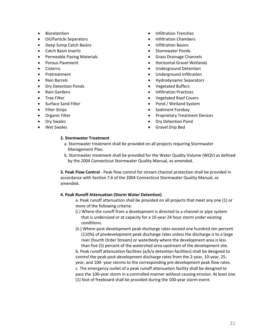- Bioretention
- Oil/Particle Separators
- Deep Sump Catch Basins
- Catch Basin Inserts
- Permeable Paving Materials
- Porous Pavement
- Cisterns
- Pretreatment
- Rain Barrels
- Dry Detention Ponds
- Rain Gardens
- Tree Filter
- Surface Sand Filter
- Filter Strips
- Organic Filter
- Dry Swales
- Wet Swales
- Infiltration Trenches
- Infiltration Chambers
- Infiltration Basins
- Stormwater Ponds
- Grass Drainage Channels
- Horizontal Gravel Wetlands
- Underground Detention
- Underground Infiltration
- Hydrodynamic Separators
- Vegetated Buffers
- Infiltration Practices
- Vegetated Roof Covers
- Pond / Wetland System
- Sediment Forebay
- Proprietary Treatment Devices
- Dry Detention Pond
- Gravel Drip Bed

## **2. Stormwater Treatment**

- a. Stormwater treatment shall be provided on all projects requiring Stormwater Management Plan.
- b. Stormwater treatment shall be provided for the Water Quality Volume (WQV) as defined by the 2004 Connecticut Stormwater Quality Manual, as amended.

**3. Peak Flow Control** - Peak flow control for stream channel protection shall be provided in accordance with Section 7.6 of the 2004 Connecticut Stormwater Quality Manual, as amended.

### **4. Peak Runoff Attenuation (Storm Water Detention)**

- a. Peak runoff attenuation shall be provided on all projects that meet any one (1) or more of the following criteria:
- (i.) Where the runoff from a development is directed to a channel or pipe system that is undersized or at capacity for a 10-year 24 hour storm under existing conditions.
- (ii.) Where post-development peak discharge rates exceed one hundred ten percent (110%) of predevelopment peak discharge rates unless the discharge is to a large river (fourth Order Stream) or waterbody where the development area is less than five (5) percent of the watershed area upstream of the development site.

b. Peak runoff attenuation facilities (a/k/a detention facilities) shall be designed to control the peak post-development discharge rates from the 2-year, 10-year, 25 year, and 100- year storms to the corresponding pre-development peak flow rates. c. The emergency outlet of a peak runoff attenuation facility shall be designed to pass the 100-year storm in a controlled manner without causing erosion. At least one (1) foot of freeboard shall be provided during the 100-year storm event.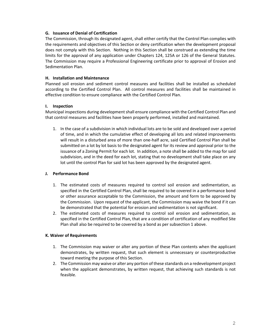### **G. Issuance of Denial of Certification**

The Commission, through its designated agent, shall either certify that the Control Plan complies with the requirements and objectives of this Section or deny certification when the development proposal does not comply with this Section. Nothing in this Section shall be construed as extending the time limits for the approval of any application under Chapters 124, 125A or 126 of the General Statutes. The Commission may require a Professional Engineering certificate prior to approval of Erosion and Sedimentation Plan.

## **H. Installation and Maintenance**

Planned soil erosion and sediment control measures and facilities shall be installed as scheduled according to the Certified Control Plan. All control measures and facilities shall be maintained in effective condition to ensure compliance with the Certified Control Plan.

## **I. Inspection**

Municipal inspections during development shall ensure compliance with the Certified Control Plan and that control measures and facilities have been properly performed, installed and maintained.

1. In the case of a subdivision in which individual lots are to be sold and developed over a period of time, and in which the cumulative effect of developing all lots and related improvements will result in a disturbed area of more than one-half acre, said Certified Control Plan shall be submitted on a lot by lot basis to the designated agent for its review and approval prior to the issuance of a Zoning Permit for each lot. In addition, a note shall be added to the map for said subdivision, and in the deed for each lot, stating that no development shall take place on any lot until the control Plan for said lot has been approved by the designated agent.

# **J. Performance Bond**

- 1. The estimated costs of measures required to control soil erosion and sedimentation, as specified in the Certified Control Plan, shall be required to be covered in a performance bond or other assurance acceptable to the Commission, the amount and form to be approved by the Commission. Upon request of the applicant, the Commission may waive the bond if it can be demonstrated that the potential for erosion and sedimentation is not significant.
- 2. The estimated costs of measures required to control soil erosion and sedimentation, as specified in the Certified Control Plan, that are a condition of certification of any modified Site Plan shall also be required to be covered by a bond as per subsection 1 above.

### **K. Waiver of Requirements**

- 1. The Commission may waiver or alter any portion of these Plan contents when the applicant demonstrates, by written request, that such element is unnecessary or counterproductive toward meeting the purpose of this Section.
- 2. The Commission may waive or alter any portion of these standards on a redevelopment project when the applicant demonstrates, by written request, that achieving such standards is not feasible.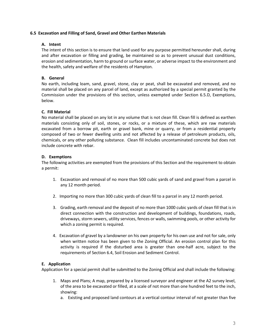### **6.5 Excavation and Filling of Sand, Gravel and Other Earthen Materials**

# **A. Intent**

The intent of this section is to ensure that land used for any purpose permitted hereunder shall, during and after excavation or filling and grading, be maintained so as to prevent unusual dust conditions, erosion and sedimentation, harm to ground or surface water, or adverse impact to the environment and the health, safety and welfare of the residents of Hampton.

# **B. General**

No earth, including loam, sand, gravel, stone, clay or peat, shall be excavated and removed, and no material shall be placed on any parcel of land, except as authorized by a special permit granted by the Commission under the provisions of this section, unless exempted under Section 6.5.D, Exemptions, below.

# **C. Fill Material**

No material shall be placed on any lot in any volume that is not clean fill. Clean fill is defined as earthen materials consisting only of soil, stones, or rocks, or a mixture of these, which are raw materials excavated from a borrow pit, earth or gravel bank, mine or quarry, or from a residential property composed of two or fewer dwelling units and not affected by a release of petroleum products, oils, chemicals, or any other polluting substance. Clean fill includes uncontaminated concrete but does not include concrete with rebar.

# **D. Exemptions**

The following activities are exempted from the provisions of this Section and the requirement to obtain a permit:

- 1. Excavation and removal of no more than 500 cubic yards of sand and gravel from a parcel in any 12 month period.
- 2. Importing no more than 300 cubic yards of clean fill to a parcel in any 12 month period.
- 3. Grading, earth removal and the deposit of no more than 1000 cubic yards of clean fill that is in direct connection with the construction and development of buildings, foundations, roads, driveways, storm sewers, utility services, fences or walls, swimming pools, or other activity for which a zoning permit is required.
- 4. Excavation of gravel by a landowner on his own property for his own use and not for sale, only when written notice has been given to the Zoning Official. An erosion control plan for this activity is required if the disturbed area is greater than one-half acre, subject to the requirements of Section 6.4, Soil Erosion and Sediment Control.

### **E. Application**

Application for a special permit shall be submitted to the Zoning Official and shall include the following:

- 1. Maps and Plans; A map, prepared by a licensed surveyor and engineer at the A2 survey level, of the area to be excavated or filled, at a scale of not more than one hundred feet to the inch, showing:
	- a. Existing and proposed land contours at a vertical contour interval of not greater than five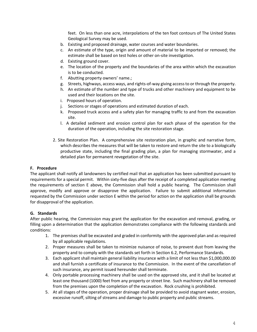feet. On less than one acre, interpolations of the ten foot contours of The United States Geological Survey may be used.

- b. Existing and proposed drainage, water courses and water boundaries.
- c. An estimate of the type, origin and amount of material to be imported or removed; the estimate shall be based on test holes or other on-site investigation.
- d. Existing ground cover.
- e. The location of the property and the boundaries of the area within which the excavation is to be conducted.
- f. Abutting property owners' name.;
- g. Streets, highways, access ways, and rights-of-way giving access to or through the property.
- h. An estimate of the number and type of trucks and other machinery and equipment to be used and their locations on the site.
- i. Proposed hours of operation.
- j. Sections or stages of operations and estimated duration of each.
- k. Proposed truck access and a safety plan for managing traffic to and from the excavation site.
- l. A detailed sediment and erosion control plan for each phase of the operation for the duration of the operation, including the site restoration stage.
- 2. Site Restoration Plan. A comprehensive site restoration plan, in graphic and narrative form, which describes the measures that will be taken to restore and return the site to a biologically productive state, including the final grading plan, a plan for managing stormwater, and a detailed plan for permanent revegetation of the site.

### **F. Procedure**

The applicant shall notify all landowners by certified mail that an application has been submitted pursuant to requirements for a special permit. Within sixty-five days after the receipt of a completed application meeting the requirements of section E above, the Commission shall hold a public hearing. The Commission shall approve, modify and approve or disapprove the application. Failure to submit additional information requested by the Commission under section E within the period for action on the application shall be grounds for disapproval of the application.

### **G. Standards**

After public hearing, the Commission may grant the application for the excavation and removal, grading, or filling upon a determination that the application demonstrates compliance with the following standards and conditions:

- 1. The premises shall be excavated and graded in conformity with the approved plan and as required by all applicable regulations.
- 2. Proper measures shall be taken to minimize nuisance of noise, to prevent dust from leaving the property and to comply with the standards set forth in Section 6.2, Performance Standards.
- 3. Each applicant shall maintain general liability insurance with a limit of not less than \$1,000,000.00 and shall furnish a certificate of insurance to the Commission. In the event of the cancellation of such insurance, any permit issued hereunder shall terminate.
- 4. Only portable processing machinery shall be used on the approved site, and it shall be located at least one thousand (1000) feet from any property or street line. Such machinery shall be removed from the premises upon the completion of the excavation. Rock crushing is prohibited.
- 5. At all stages of the operation, proper drainage shall be provided to avoid stagnant water, erosion, excessive runoff, silting of streams and damage to public property and public streams.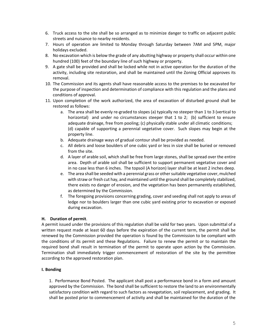- 6. Truck access to the site shall be so arranged as to minimize danger to traffic on adjacent public streets and nuisance to nearby residents.
- 7. Hours of operation are limited to Monday through Saturday between 7AM and 5PM, major holidays excluded.
- 8. No excavation which is below the grade of any abutting highway or property shall occur within one hundred (100) feet of the boundary line of such highway or property.
- 9. A gate shall be provided and shall be locked while not in active operation for the duration of the activity, including site restoration, and shall be maintained until the Zoning Official approves its removal.
- 10. The Commission and its agents shall have reasonable access to the premises to be excavated for the purpose of inspection and determination of compliance with this regulation and the plans and conditions of approval.
- 11. Upon completion of the work authorized, the area of excavation of disturbed ground shall be restored as follows:
	- a. The area shall be evenly re-graded to slopes (a) typically no steeper than 1 to 3 (vertical to horizontal) and under no circumstances steeper that 1 to 2; (b) sufficient to ensure adequate drainage, free from pooling; (c) physically stable under all climatic conditions; (d) capable of supporting a perennial vegetative cover. Such slopes may begin at the property line.
	- b. Adequate drainage ways of gradual contour shall be provided as needed.
	- c. All debris and loose boulders of one cubic yard or less in size shall be buried or removed from the site.
	- d. A layer of arable soil, which shall be free from large stones, shall be spread over the entire area. Depth of arable soil shall be sufficient to support permanent vegetative cover and in no case less than 6 inches. The topsoil (A horizon) layer shall be at least 2 inches deep.
	- e. The area shall be seeded with a perennial grass or other suitable vegetative cover, mulched with straw or fresh cut hay, and maintained until the ground shall be completely stabilized, there exists no danger of erosion, and the vegetation has been permanently established, as determined by the Commission.
	- f. The foregoing provisions concerning grading, cover and seeding shall not apply to areas of ledge nor to boulders larger than one cubic yard existing prior to excavation or exposed during excavation.

# **H. Duration of permit**.

A permit issued under the provisions of this regulation shall be valid for two years. Upon submittal of a written request made at least 60 days before the expiration of the current term, the permit shall be renewed by the Commission provided the operation is found by the Commission to be compliant with the conditions of its permit and these Regulations. Failure to renew the permit or to maintain the required bond shall result in termination of the permit to operate upon action by the Commission. Termination shall immediately trigger commencement of restoration of the site by the permittee according to the approved restoration plan.

# **I. Bonding**

1. Performance Bond Posted. The applicant shall post a performance bond in a form and amount approved by the Commission. The bond shall be sufficient to restore the land to an environmentally satisfactory condition with regard to such factors as revegetation, soil replacement, and grading. It shall be posted prior to commencement of activity and shall be maintained for the duration of the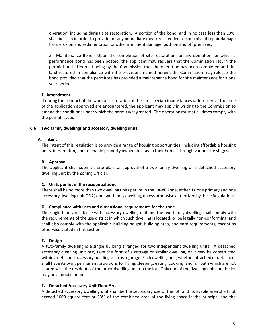operation, including during site restoration. A portion of the bond, and in no case less than 10%, shall be cash in order to provide for any immediate measures needed to control and repair damage from erosion and sedimentation or other imminent damage, both on and off premises.

2. Maintenance Bond. Upon the completion of site restoration for any operation for which a performance bond has been posted, the applicant may request that the Commission return the permit bond. Upon a finding by the Commission that the operation has been completed and the land restored in compliance with the provisions named herein, the Commission may release the bond provided that the permittee has provided a maintenance bond for site maintenance for a one year period.

## **J. Amendment**

If during the conduct of the work or restoration of the site, special circumstances unforeseen at the time of the application approved are encountered, the applicant may apply in writing to the Commission to amend the conditions under which the permit was granted. The operation must at all times comply with the permit issued.

## **6.6 Two family dwellings and accessory dwelling units**

## **A. Intent**

The intent of this regulation is to provide a range of housing opportunities, including affordable housing units, in Hampton, and to enable property owners to stay in their homes through various life stages.

## **B. Approval**

The applicant shall submit a site plan for approval of a two family dwelling or a detached accessory dwelling unit by the Zoning Official.

# **C. Units per lot in the residential zone**

There shall be no more than two dwelling units per lot in the RA-80 Zone, either 1) one primary and one accessory dwelling unit OR 2) one two-family dwelling, unless otherwise authorized by these Regulations.

### **D. Compliance with uses and dimensional requirements for the zone**

The single-family residence with accessory dwelling unit and the two-family dwelling shall comply with the requirements of the use district in which such dwelling is located, or be legally non-conforming, and shall also comply with the applicable building height, building area, and yard requirements, except as otherwise stated in this Section.

# **E. Design**

A two-family dwelling is a single building arranged for two independent dwelling units. A detached accessory dwelling unit may take the form of a cottage or similar dwelling, or it may be constructed within a detached accessory building such as a garage. Each dwelling unit, whether attached or detached, shall have its own, permanent provisions for living, sleeping, eating, cooking, and full bath which are not shared with the residents of the other dwelling unit on the lot. Only one of the dwelling units on the lot may be a mobile home.

### **F. Detached Accessory Unit Floor Area**

A detached accessory dwelling unit shall be the secondary use of the lot, and its livable area shall not exceed 1000 square feet or 33% of the combined area of the living space in the principal and the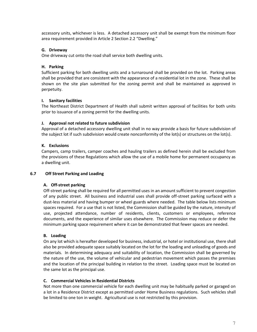accessory units, whichever is less. A detached accessory unit shall be exempt from the minimum floor area requirement provided in Article 2 Section 2.2 "Dwelling."

### **G. Driveway**

One driveway cut onto the road shall service both dwelling units.

## **H. Parking**

Sufficient parking for both dwelling units and a turnaround shall be provided on the lot. Parking areas shall be provided that are consistent with the appearance of a residential lot in the zone. These shall be shown on the site plan submitted for the zoning permit and shall be maintained as approved in perpetuity.

## **I. Sanitary facilities**

The Northeast District Department of Health shall submit written approval of facilities for both units prior to issuance of a zoning permit for the dwelling units.

### **J. Approval not related to future subdivision**

Approval of a detached accessory dwelling unit shall in no way provide a basis for future subdivision of the subject lot if such subdivision would create nonconformity of the lot(s) or structures on the lot(s).

# **K. Exclusions**

Campers, camp trailers, camper coaches and hauling trailers as defined herein shall be excluded from the provisions of these Regulations which allow the use of a mobile home for permanent occupancy as a dwelling unit.

# **6.7 Off Street Parking and Loading**

### **A. Off-street parking**

Off-street parking shall be required for all permitted uses in an amount sufficient to prevent congestion of any public street. All business and industrial uses shall provide off-street parking surfaced with a dust-less material and having bumper or wheel guards where needed. The table below lists minimum spaces required. For a use that is not listed, the Commission shall be guided by the nature, intensity of use, projected attendance, number of residents, clients, customers or employees, reference documents, and the experience of similar uses elsewhere. The Commission may reduce or defer the minimum parking space requirement where it can be demonstrated that fewer spaces are needed.

### **B. Loading**

On any lot which is hereafter developed for business, industrial, or hotel or institutional use, there shall also be provided adequate space suitably located on the lot for the loading and unloading of goods and materials. In determining adequacy and suitability of location, the Commission shall be governed by the nature of the use, the volume of vehicular and pedestrian movement which passes the premises and the location of the principal building in relation to the street. Loading space must be located on the same lot as the principal use.

### **C. Commercial Vehicles in Residential Districts**

Not more than one commercial vehicle for each dwelling unit may be habitually parked or garaged on a lot in a Residence District except as permitted under Home Business regulations. Such vehicles shall be limited to one ton in weight. Agricultural use is not restricted by this provision.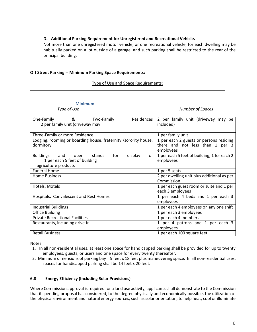### **D. Additional Parking Requirement for Unregistered and Recreational Vehicle.**

Not more than one unregistered motor vehicle, or one recreational vehicle, for each dwelling may be habitually parked on a lot outside of a garage, and such parking shall be restricted to the rear of the principal building.

### **Off Street Parking -- Minimum Parking Space Requirements:**

### Type of Use and Space Requirements:

**Minimum**<br>Type of Use

**Number of Spaces** 

| $\sim$ 8.<br>Residences<br>One-Family<br>Two-Family<br>2 per family unit (driveway may                               | 2 per family unit (driveway may be<br>included)                                         |  |
|----------------------------------------------------------------------------------------------------------------------|-----------------------------------------------------------------------------------------|--|
|                                                                                                                      |                                                                                         |  |
| Three-Family or more Residence                                                                                       | 1 per family unit                                                                       |  |
| Lodging, rooming or boarding house, fraternity / sorority house,<br>dormitory                                        | 1 per each 2 guests or persons residing<br>there and not less than 1 per 3<br>employees |  |
| <b>Buildings</b><br>for<br>stands<br>and<br>display<br>open<br>1 per each 5 feet of building<br>agriculture products | 1 per each 5 feet of building, 1 for each 2<br>of<br>employees                          |  |
| <b>Funeral Home</b>                                                                                                  | 1 per 5 seats                                                                           |  |
| <b>Home Business</b>                                                                                                 | 2 per dwelling unit plus additional as per                                              |  |
|                                                                                                                      | Commission                                                                              |  |
| Hotels, Motels                                                                                                       | 1 per each guest room or suite and 1 per<br>each 3 employees                            |  |
| Hospitals: Convalescent and Rest Homes                                                                               | 1 per each 4 beds and 1 per each 3                                                      |  |
|                                                                                                                      | employees                                                                               |  |
| <b>Industrial Buildings</b>                                                                                          | 1 per each 4 employees on any one shift                                                 |  |
| <b>Office Building</b>                                                                                               | 1 per each 3 employees                                                                  |  |
| <b>Private Recreational Facilities</b>                                                                               | 1 per each 4 members                                                                    |  |
| Restaurants, including drive-in                                                                                      | 1 per 4 patrons and 1 per each 3                                                        |  |
|                                                                                                                      | employees                                                                               |  |
| <b>Retail Business</b>                                                                                               | 1 per each 100 square feet                                                              |  |

Notes:

- 1. In all non-residential uses, at least one space for handicapped parking shall be provided for up to twenty employees, guests, or users and one space for every twenty thereafter.
- 2. Minimum dimensions of parking bay = 9 feet x 18 feet plus maneuvering space. In all non-residential uses, spaces for handicapped parking shall be 14 feet x 20 feet.

### **6.8 Energy Efficiency (Including Solar Provisions)**

Where Commission approval is required for a land use activity, applicants shall demonstrate to the Commission that its pending proposal has considered, to the degree physically and economically possible, the utilization of the physical environment and natural energy sources, such as solar orientation, to help heat, cool or illuminate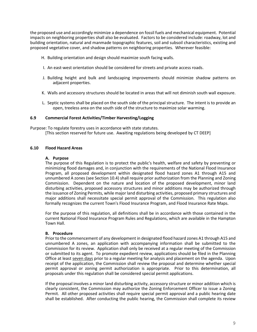the proposed use and accordingly minimize a dependence on fossil fuels and mechanical equipment. Potential impacts on neighboring properties shall also be evaluated. Factors to be considered include: roadway, lot and building orientation, natural and manmade topographic features, soil and subsoil characteristics, existing and proposed vegetative cover, and shadow patterns on neighboring properties. Wherever feasible:

- H. Building orientation and design should maximize south facing walls.
- I. An east-west orientation should be considered for streets and private access roads.
- J. Building height and bulk and landscaping improvements should minimize shadow patterns on adjacent properties.
- K. Walls and accessory structures should be located in areas that will not diminish south wall exposure.
- L. Septic systems shall be placed on the south side of the principal structure. The intent is to provide an open, treeless area on the south side of the structure to maximize solar warming.

#### **6.9 Commercial Forest Activities/Timber Harvesting/Logging**

Purpose: To regulate forestry uses in accordance with state statutes. [This section reserved for future use. Awaiting regulations being developed by CT DEEP]

### **6.10 Flood Hazard Areas**

#### **A. Purpose**

The purpose of this Regulation is to protect the public's health, welfare and safety by preventing or minimizing flood damages and, in conjunction with the requirements of the National Flood Insurance Program, all proposed development within designated flood hazard zones A1 through A15 and unnumbered A zones (see Section 10.4) shall require prior authorization from the Planning and Zoning Commission. Dependent on the nature and location of the proposed development, minor land disturbing activities, proposed accessory structures and minor additions may be authorized through the issuance of Zoning Permits, while major land disturbing activities, proposed primary structures and major additions shall necessitate special permit approval of the Commission. This regulation also formally recognizes the current Town's Flood Insurance Program, and Flood Insurance Rate Maps.

For the purpose of this regulation, all definitions shall be in accordance with those contained in the current National Flood Insurance Program Rules and Regulations, which are available in the Hampton Town Hall.

#### **B. Procedure**

Prior to the commencement of any development in designated flood hazard zones A1 through A15 and unnumbered A zones, an application with accompanying information shall be submitted to the Commission for its review. Application shall only be received at a regular meeting of the Commission or submitted to its agent. To promote expedient review, applications should be filed in the Planning Office at least seven days prior to a regular meeting for analysis and placement on the agenda. Upon receipt of the application, the Commission shall review the proposal and determine whether special permit approval or zoning permit authorization is appropriate. Prior to this determination, all proposals under this regulation shall be considered special permit applications.

If the proposal involves a minor land disturbing activity, accessory structure or minor addition which is clearly consistent, the Commission may authorize the Zoning Enforcement Officer to issue a Zoning Permit. All other proposed activities shall require special permit approval and a public hearing date shall be established. After conducting the public hearing, the Commission shall complete its review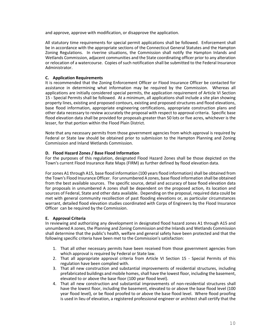and approve, approve with modification, or disapprove the application.

All statutory time requirements for special permit applications shall be followed. Enforcement shall be in accordance with the appropriate sections of the Connecticut General Statutes and the Hampton Zoning Regulations. In riverine situations, the Commission shall notify the Hampton Inlands and Wetlands Commission, adjacent communities and the State coordinating officer prior to any alteration or relocation of a watercourse. Copies of such notification shall be submitted to the Federal Insurance Administrator.

### **C. Application Requirements**

It is recommended that the Zoning Enforcement Officer or Flood Insurance Officer be contacted for assistance in determining what information may be required by the Commission. Whereas all applications are initially considered special permits, the application requirement of Article VI Section 15 - Special Permits shall be followed. At a minimum, all applications shall include a site plan showing property lines, existing and proposed contours, existing and proposed structures and flood elevations, base flood information, appropriate engineering certifications, appropriate construction plans and other data necessary to review accurately the proposal with respect to approval criteria. Specific base flood elevation data shall be provided for proposals greater than 50 lots or five acres, whichever is the lesser, for that portion within the Flood Plain District.

Note that any necessary permits from those government agencies from which approval is required by Federal or State law should be obtained prior to submission to the Hampton Planning and Zoning Commission and Inland Wetlands Commission.

### **D. Flood Hazard Zones / Base Flood Information**

For the purposes of this regulation, designated Flood Hazard Zones shall be those depicted on the Town's current Flood Insurance Rate Maps (FIRM) as further defined by flood elevation data.

For zones A1 through A15, base flood information (100 years flood information) shall be obtained from the Town's Flood Insurance Officer. For unnumbered A zones, base flood information shall be obtained from the best available sources. The specific source, detail and accuracy of base flood elevation data for proposals in unnumbered A zones shall be dependent on the proposed action, its location and sources of Federal, State and other data available. Depending on the proposal, required data could be met with general community recollection of past flooding elevations or, as particular circumstances warrant, detailed flood elevation studies coordinated with Corps of Engineers by the Flood Insurance Officer can be required by the Commission.

### **E. Approval Criteria**

In reviewing and authorizing any development in designated flood hazard zones A1 through A15 and unnumbered A zones, the Planning and Zoning Commission and the Inlands and Wetlands Commission shall determine that the public's health, welfare and general safety have been protected and that the following specific criteria have been met to the Commission's satisfaction:

- 1. That all other necessary permits have been received from those government agencies from which approval is required by Federal or State law.
- 2. That all appropriate approval criteria from Article VI Section 15 Special Permits of this regulation have been complied with.
- 3. That all new construction and substantial improvements of residential structures, including prefabricated buildings and mobile homes, shall have the lowest floor, including the basement, elevated to or above the base floor (100 year flood level).
- 4. That all new construction and substantial improvements of non-residential structures shall have the lowest floor, including the basement, elevated to or above the base flood level (100 year flood level), or be flood proofed to or above the base flood level. Where flood proofing is used in lieu of elevation, a registered professional engineer or architect shall certify that the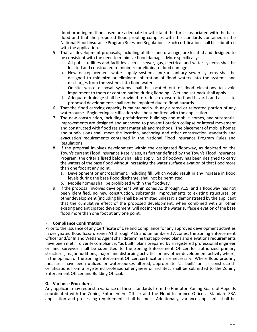flood proofing methods used are adequate to withstand the forces associated with the base flood and that the proposed flood proofing complies with the standards contained in the National Flood Insurance Program Rules and Regulations. Such certification shall be submitted with the application.

- 5. That all development proposals, including utilities and drainage, are located and designed to be consistent with the need to minimize flood damage. More specifically:
	- a. All public utilities and facilities such as sewer, gas, electrical and water systems shall be located and constructed to minimize or eliminate flood damage.
	- b. New or replacement water supply systems and/or sanitary sewer systems shall be designed to minimize or eliminate infiltration of flood waters into the systems and discharges from the systems into flood waters.
	- c. On-site waste disposal systems shall be located out of flood elevations to avoid impairment to them or contamination during flooding. Wetland set-back shall apply.
	- d. Adequate drainage shall be provided to reduce exposure to flood hazards and access to proposed developments shall not be impaired due to flood hazards.
- 6. That the flood carrying capacity is maintained with any altered or relocated portion of any watercourse. Engineering certification shall be submitted with the application.
- 7. The new construction, including prefabricated buildings and mobile homes, and substantial improvements are designed and anchored to prevent flotation collapse or lateral movement and constructed with flood resistant materials and methods. The placement of mobile homes and subdivisions shall meet the location, anchoring and other construction standards and evacuation requirements contained in the National Flood Insurance Program Rules and Regulations.
- 8. If the proposal involves development within the designated floodway, as depicted on the Town's current Flood Insurance Rate Maps, as further defined by the Town's Flood Insurance Program, the criteria listed below shall also apply. Said floodway has been designed to carry the waters of the base flood without increasing the water surface elevation of that flood more than one foot at any point.
	- a. Development or encroachment, including fill, which would result in any increase in flood levels during the base flood discharge, shall not be permitted.
	- b. Mobile homes shall be prohibited within the floodway.
- 9. If the proposal involves development within Zones A1 through A15, and a floodway has not been identified, no new construction, substantial improvements to existing structures, or other development (including fill) shall be permitted unless it is demonstrated by the applicant that the cumulative effect of the proposed development, when combined with all other existing and anticipated development, will not increase the water surface elevation of the base flood more than one foot at any one point.

# **F. Compliance Confirmation**

Prior to the issuance of any Certificate of Use and Compliance for any approved development activities in designated flood hazard zones A1 through A15 and unnumbered A zones, the Zoning Enforcement Officer and/or Inland Wetland Agent shall determine that approved plans and elevations requirements have been met. To verify compliance, "as built" plans prepared by a registered professional engineer or land surveyor shall be submitted to the Zoning Enforcement Officer for authorized primary structures, major additions, major land disturbing activities or any other development activity where, in the opinion of the Zoning Enforcement Officer, certifications are necessary. Where flood proofing measures have been utilized or watercourses altered, appropriate "as built" or "as constructed" certifications from a registered professional engineer or architect shall be submitted to the Zoning Enforcement Officer and Building Official.

### **G. Variance Procedures**

Any applicant may request a variance of these standards from the Hampton Zoning Board of Appeals coordinated with the Zoning Enforcement Officer and the Flood Insurance Officer. Standard ZBA application and processing requirements shall be met. Additionally, variance applicants shall be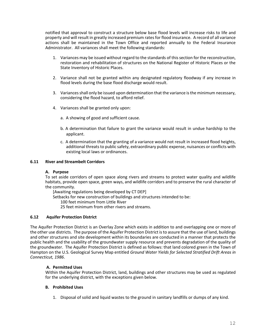notified that approval to construct a structure below base flood levels will increase risks to life and property and will result in greatly increased premium rates for flood insurance. A record of all variance actions shall be maintained in the Town Office and reported annually to the Federal Insurance Administrator. All variances shall meet the following standards:

- 1. Variances may be issued without regard to the standards of this section for the reconstruction, restoration and rehabilitation of structures on the National Register of Historic Places or the State Inventory of Historic Places.
- 2. Variance shall not be granted within any designated regulatory floodway if any increase in flood levels during the base flood discharge would result.
- 3. Variances shall only be issued upon determination that the variance is the minimum necessary, considering the flood hazard, to afford relief.
- 4. Variances shall be granted only upon:
	- a. A showing of good and sufficient cause.
	- b. A determination that failure to grant the variance would result in undue hardship to the applicant.
	- c. A determination that the granting of a variance would not result in increased flood heights, additional threats to public safety, extraordinary public expense, nuisances or conflicts with existing local laws or ordinances.

#### **6.11 River and Streambelt Corridors**

#### **A. Purpose**

To set aside corridors of open space along rivers and streams to protect water quality and wildlife habitats, provide open space, green ways, and wildlife corridors and to preserve the rural character of the community.

[Awaiting regulations being developed by CT DEP]

Setbacks for new construction of buildings and structures intended to be:

100 feet minimum from Little River

25 feet minimum from other rivers and streams.

### **6.12 Aquifer Protection District**

The Aquifer Protection District is an Overlay Zone which exists in addition to and overlapping one or more of the other use districts. The purpose of the Aquifer Protection District is to assure that the use of land, buildings and other structures and site development within its boundaries are conducted in a manner that protects the public health and the usability of the groundwater supply resource and prevents degradation of the quality of the groundwater. The Aquifer Protection District is defined as follows: that land colored green in the Town of Hampton on the U.S. Geological Survey Map entitled *Ground Water Yields for Selected Stratified Drift Areas in Connecticut, 1986*.

### **A. Permitted Uses**

Within the Aquifer Protection District, land, buildings and other structures may be used as regulated for the underlying district, with the exceptions given below.

### **B. Prohibited Uses**

1. Disposal of solid and liquid wastes to the ground in sanitary landfills or dumps of any kind.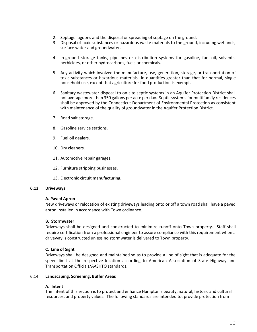- 2. Septage lagoons and the disposal or spreading of septage on the ground.
- 3. Disposal of toxic substances or hazardous waste materials to the ground, including wetlands, surface water and groundwater.
- 4. In-ground storage tanks, pipelines or distribution systems for gasoline, fuel oil, solvents, herbicides, or other hydrocarbons, fuels or chemicals.
- 5. Any activity which involved the manufacture, use, generation, storage, or transportation of toxic substances or hazardous materials in quantities greater than that for normal, single household use, except that agriculture for food production is exempt.
- 6. Sanitary wastewater disposal to on-site septic systems in an Aquifer Protection District shall not average more than 350 gallons per acre per day. Septic systems for multifamily residences shall be approved by the Connecticut Department of Environmental Protection as consistent with maintenance of the quality of groundwater in the Aquifer Protection District.
- 7. Road salt storage.
- 8. Gasoline service stations.
- 9. Fuel oil dealers.
- 10. Dry cleaners.
- 11. Automotive repair garages.
- 12. Furniture stripping businesses.
- 13. Electronic circuit manufacturing.

#### **6.13 Driveways**

#### **A. Paved Apron**

New driveways or relocation of existing driveways leading onto or off a town road shall have a paved apron installed in accordance with Town ordinance.

### **B. Stormwater**

Driveways shall be designed and constructed to minimize runoff onto Town property. Staff shall require certification from a professional engineer to assure compliance with this requirement when a driveway is constructed unless no stormwater is delivered to Town property.

### **C. Line of Sight**

Driveways shall be designed and maintained so as to provide a line of sight that is adequate for the speed limit at the respective location according to American Association of State Highway and Transportation Officials/AASHTO standards.

#### 6.14 **Landscaping, Screening, Buffer Areas**

#### **A. Intent**

The intent of this section is to protect and enhance Hampton's beauty; natural, historic and cultural resources; and property values. The following standards are intended to: provide protection from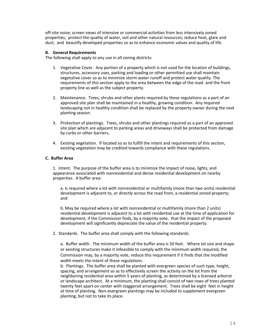off-site noise; screen views of intensive or commercial activities from less intensively zoned properties; protect the quality of water, soil and other natural resources; reduce heat, glare and dust; and beautify developed properties so as to enhance economic values and quality of life.

#### **B. General Requirements**

The following shall apply to any use in all zoning districts:

- 1. Vegetative Cover. Any portion of a property which is not used for the location of buildings, structures, accessory uses, parking and loading or other permitted use shall maintain vegetative cover so as to minimize storm water runoff and protect water quality. The requirements of this section apply to the area between the edge of the road and the front property line as well as the subject property.
- 2. Maintenance. Trees, shrubs and other plants required by these regulations as a part of an approved site plan shall be maintained in a healthy, growing condition. Any required landscaping not in healthy condition shall be replaced by the property owner during the next planting season.
- 3. Protection of plantings. Trees, shrubs and other plantings required as a part of an approved site plan which are adjacent to parking areas and driveways shall be protected from damage by curbs or other barriers.
- 4. Existing vegetation. If located so as to fulfill the intent and requirements of this section, existing vegetation may be credited towards compliance with these regulations.

#### **C. Buffer Area**

1. Intent. The purpose of the buffer area is to minimize the impact of noise, lights, and appearance associated with nonresidential and dense residential development on nearby properties. A buffer area:

a. Is required where a lot with nonresidential or multifamily (more than two units) residential development is adjacent to, or directly across the road from, a residential zoned property; and

b. May be required where a lot with nonresidential or multifamily (more than 2 units) residential development is adjacent to a lot with residential use at the time of application for development, if the Commission finds, by a majority vote, that the impact of the proposed development will significantly depreciate the value of the residential property.

2. Standards. The buffer area shall comply with the following standards:

a. Buffer width. The minimum width of the buffer area is 50 feet. Where lot size and shape or existing structures make it infeasible to comply with the minimum width required, the Commission may, by a majority vote, reduce this requirement if it finds that the modified width meets the intent of these regulations.

b. Plantings. The buffer area shall be planted with evergreen species of such type, height, spacing, and arrangement so as to effectively screen the activity on the lot from the neighboring residential area within 5 years of planting, as determined by a licensed arborist or landscape architect. At a minimum, the planting shall consist of two rows of trees planted twenty feet apart on center with staggered arrangement. Trees shall be eight feet in height at time of planting. Non-evergreen plantings may be included to supplement evergreen planting, but not to take its place.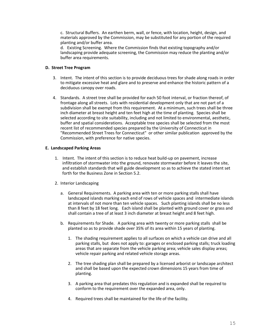c. Structural Buffers. An earthen berm, wall, or fence, with location, height, design, and materials approved by the Commission, may be substituted for any portion of the required planting and/or buffer area.

d. Existing Screening. Where the Commission finds that existing topography and/or landscaping provide adequate screening, the Commission may reduce the planting and/or buffer area requirements.

### **D. Street Tree Program**

- 3. Intent. The intent of this section is to provide deciduous trees for shade along roads in order to mitigate excessive heat and glare and to preserve and enhance the historic pattern of a deciduous canopy over roads.
- 4. Standards. A street tree shall be provided for each 50 foot interval, or fraction thereof, of frontage along all streets. Lots with residential development only that are not part of a subdivision shall be exempt from this requirement. At a minimum, such trees shall be three inch diameter at breast height and ten feet high at the time of planting. Species shall be selected according to site suitability, including and not limited to environmental, aesthetic, buffer and spatial considerations. Acceptable tree species shall be selected from the most recent list of recommended species prepared by the University of Connecticut in "Recommended Street Trees for Connecticut" or other similar publication approved by the Commission, with preference for native species.

## **E. Landscaped Parking Areas**

- 1. Intent. The intent of this section is to reduce heat build-up on pavement, increase infiltration of stormwater into the ground, renovate stormwater before it leaves the site, and establish standards that will guide development so as to achieve the stated intent set forth for the Business Zone in Section 5.2.
- 2. Interior Landscaping
	- a. General Requirements. A parking area with ten or more parking stalls shall have landscaped islands marking each end of rows of vehicle spaces and intermediate islands at intervals of not more than ten vehicle spaces. Such planting islands shall be no less than 8 feet by 18 feet long. Each island shall be planted with ground cover or grass and shall contain a tree of at least 3 inch diameter at breast height and 8 feet high.
	- b. Requirements for Shade. A parking area with twenty or more parking stalls shall be planted so as to provide shade over 35% of its area within 15 years of planting.
		- 1. The shading requirement applies to all surfaces on which a vehicle can drive and all parking stalls, but does not apply to: garages or enclosed parking stalls; truck loading areas that are separate from the vehicle parking area; vehicle sales display areas; vehicle repair parking and related vehicle storage areas.
		- 2. The tree shading plan shall be prepared by a licensed arborist or landscape architect and shall be based upon the expected crown dimensions 15 years from time of planting.
		- 3. A parking area that predates this regulation and is expanded shall be required to conform to the requirement over the expanded area, only.
		- 4. Required trees shall be maintained for the life of the facility.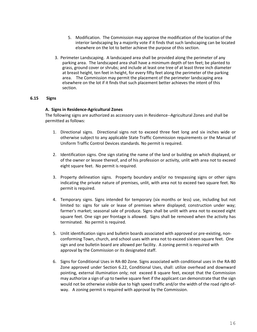- 5. Modification. The Commission may approve the modification of the location of the interior landscaping by a majority vote if it finds that such landscaping can be located elsewhere on the lot to better achieve the purpose of this section.
- 3. Perimeter Landscaping. A landscaped area shall be provided along the perimeter of any parking area. The landscaped area shall have a minimum depth of ten feet; be planted to grass, ground cover or shrubs; and include at least one tree of at least three inch diameter at breast height, ten feet in height, for every fifty feet along the perimeter of the parking area. The Commission may permit the placement of the perimeter landscaping area elsewhere on the lot if it finds that such placement better achieves the intent of this section.

#### **6.15 Signs**

#### **A. Signs in Residence-Agricultural Zones**

The following signs are authorized as accessory uses in Residence--Agricultural Zones and shall be permitted as follows:

- 1. Directional signs. Directional signs not to exceed three feet long and six inches wide or otherwise subject to any applicable State Traffic Commission requirements or the Manual of Uniform Traffic Control Devices standards. No permit is required.
- 2. Identification signs. One sign stating the name of the land or building on which displayed, or of the owner or lessee thereof, and of his profession or activity, unlit with area not to exceed eight square feet. No permit is required.
- 3. Property delineation signs. Property boundary and/or no trespassing signs or other signs indicating the private nature of premises, unlit, with area not to exceed two square feet. No permit is required.
- 4. Temporary signs. Signs intended for temporary (six months or less) use, including but not limited to: signs for sale or lease of premises where displayed; construction under way; farmer's market; seasonal sale of produce. Signs shall be unlit with area not to exceed eight square feet. One sign per frontage is allowed. Signs shall be removed when the activity has terminated. No permit is required.
- 5. Unlit identification signs and bulletin boards associated with approved or pre-existing, nonconforming Town, church, and school uses with area not to exceed sixteen square feet. One sign and one bulletin board are allowed per facility. A zoning permit is required with approval by the Commission or its designated staff.
- 6. Signs for Conditional Uses in RA-80 Zone. Signs associated with conditional uses in the RA-80 Zone approved under Section 6.22, Conditional Uses, shall: utilize overhead and downward pointing, external illumination only; not exceed 8 square feet, except that the Commission may authorize a sign of up to twelve square feet if the applicant can demonstrate that the sign would not be otherwise visible due to high speed traffic and/or the width of the road right-ofway. A zoning permit is required with approval by the Commission.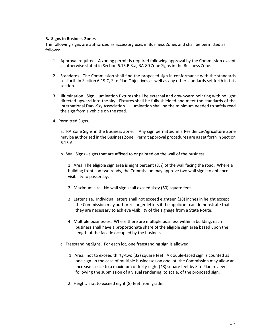### **B. Signs in Business Zones**

The following signs are authorized as accessory uses in Business Zones and shall be permitted as follows:

- 1. Approval required. A zoning permit is required following approval by the Commission except as otherwise stated in Section 6.15.B.3.a, RA-80 Zone Signs in the Business Zone.
- 2. Standards. The Commission shall find the proposed sign in conformance with the standards set forth in Section 6.19.C, Site Plan Objectives as well as any other standards set forth in this section.
- 3. Illumination. Sign illumination fixtures shall be external and downward pointing with no light directed upward into the sky. Fixtures shall be fully shielded and meet the standards of the International Dark-Sky Association. Illumination shall be the minimum needed to safely read the sign from a vehicle on the road.
- 4. Permitted Signs.

a. RA Zone Signs in the Business Zone. Any sign permitted in a Residence-Agriculture Zone may be authorized in the Business Zone. Permit approval procedures are as set forth in Section 6.15.A.

b. Wall Signs - signs that are affixed to or painted on the wall of the business.

1. Area. The eligible sign area is eight percent (8%) of the wall facing the road. Where a building fronts on two roads, the Commission may approve two wall signs to enhance visibility to passersby.

- 2. Maximum size. No wall sign shall exceed sixty (60) square feet.
- 3. Letter size. Individual letters shall not exceed eighteen (18) inches in height except the Commission may authorize larger letters if the applicant can demonstrate that they are necessary to achieve visibility of the signage from a State Route.
- 4. Multiple businesses. Where there are multiple business within a building, each business shall have a proportionate share of the eligible sign area based upon the length of the facade occupied by the business.
- c. Freestanding Signs. For each lot, one freestanding sign is allowed:
	- 1 Area: not to exceed thirty-two (32) square feet. A double-faced sign is counted as one sign. In the case of multiple businesses on one lot, the Commission may allow an increase in size to a maximum of forty-eight (48) square feet by Site Plan review following the submission of a visual rendering, to scale, of the proposed sign.
	- 2. Height: not to exceed eight (8) feet from grade.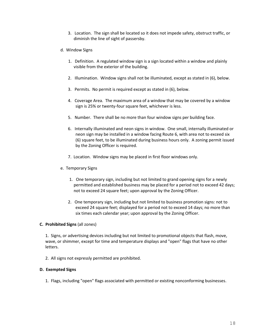- 3. Location. The sign shall be located so it does not impede safety, obstruct traffic, or diminish the line of sight of passersby.
- d. Window Signs
	- 1. Definition. A regulated window sign is a sign located within a window and plainly visible from the exterior of the building.
	- 2. Illumination. Window signs shall not be illuminated, except as stated in (6), below.
	- 3. Permits. No permit is required except as stated in (6), below.
	- 4. Coverage Area. The maximum area of a window that may be covered by a window sign is 25% or twenty-four square feet, whichever is less.
	- 5. Number. There shall be no more than four window signs per building face.
	- 6. Internally illuminated and neon signs in window. One small, internally illuminated or neon sign may be installed in a window facing Route 6, with area not to exceed six (6) square feet, to be illuminated during business hours only. A zoning permit issued by the Zoning Officer is required.
	- 7. Location. Window signs may be placed in first floor windows only.
- e. Temporary Signs
	- 1. One temporary sign, including but not limited to grand opening signs for a newly permitted and established business may be placed for a period not to exceed 42 days; not to exceed 24 square feet; upon approval by the Zoning Officer.
	- 2. One temporary sign, including but not limited to business promotion signs: not to exceed 24 square feet; displayed for a period not to exceed 14 days; no more than six times each calendar year; upon approval by the Zoning Officer.

### **C. Prohibited Signs** (all zones)

1. Signs, or advertising devices including but not limited to promotional objects that flash, move, wave, or shimmer, except for time and temperature displays and "open" flags that have no other letters.

2. All signs not expressly permitted are prohibited.

### **D. Exempted Signs**

1. Flags, including "open" flags associated with permitted or existing nonconforming businesses.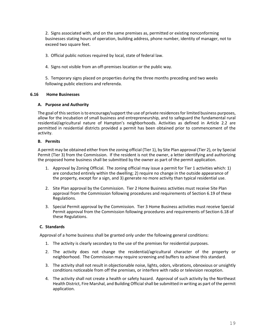2. Signs associated with, and on the same premises as, permitted or existing nonconforming businesses stating hours of operation, building address, phone number, identity of manager, not to exceed two square feet.

3. Official public notices required by local, state of federal law.

4. Signs not visible from an off-premises location or the public way.

5. Temporary signs placed on properties during the three months preceding and two weeks following public elections and referenda.

## **6.16 Home Businesses**

### **A. Purpose and Authority**

The goal of this section is to encourage/support the use of private residences for limited business purposes, allow for the incubation of small business and entrepreneurship, and to safeguard the fundamental rural residential/agricultural nature of Hampton's neighborhoods. Activities as defined in Article 2.2 are permitted in residential districts provided a permit has been obtained prior to commencement of the activity.

## **B. Permits**

A permit may be obtained either from the zoning official (Tier 1), by Site Plan approval (Tier 2), or by Special Permit (Tier 3) from the Commission. If the resident is not the owner, a letter identifying and authorizing the proposed home business shall be submitted by the owner as part of the permit application.

- 1. Approval by Zoning Official. The zoning official may issue a permit for Tier 1 activities which: 1) are conducted entirely within the dwelling; 2) require no change in the outside appearance of the property, except for a sign, and 3) generate no more activity than typical residential use.
- 2. Site Plan approval by the Commission. Tier 2 Home Business activities must receive Site Plan approval from the Commission following procedures and requirements of Section 6.19 of these Regulations.
- 3. Special Permit approval by the Commission. Tier 3 Home Business activities must receive Special Permit approval from the Commission following procedures and requirements of Section 6.18 of these Regulations.

# **C. Standards**

Approval of a home business shall be granted only under the following general conditions:

- 1. The activity is clearly secondary to the use of the premises for residential purposes.
- 2. The activity does not change the residential/agricultural character of the property or neighborhood. The Commission may require screening and buffers to achieve this standard.
- 3. The activity shall not result in objectionable noise, lights, odors, vibrations, obnoxious or unsightly conditions noticeable from off the premises, or interfere with radio or television reception.
- 4. The activity shall not create a health or safety hazard. Approval of such activity by the Northeast Health District, Fire Marshal, and Building Official shall be submitted in writing as part of the permit application.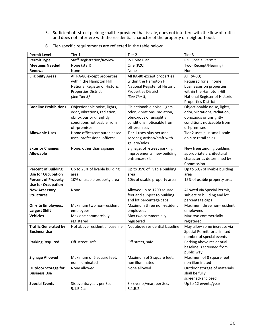5. Sufficient off-street parking shall be provided that is safe, does not interfere with the flow of traffic, and does not interfere with the residential character of the property or neighborhood.

| <b>Permit Level</b>                                     | Tier 1                                                                                                                                | Tier 2                                                                                                                                | Tier 3                                                                                                                                                    |
|---------------------------------------------------------|---------------------------------------------------------------------------------------------------------------------------------------|---------------------------------------------------------------------------------------------------------------------------------------|-----------------------------------------------------------------------------------------------------------------------------------------------------------|
| <b>Permit Type</b>                                      | <b>Staff Registration/Review</b>                                                                                                      | PZC Site Plan                                                                                                                         | PZC Special Permit                                                                                                                                        |
| <b>Meetings Needed</b>                                  | None (staff)                                                                                                                          | One (PZC)                                                                                                                             | Two (Receipt/Hearing)                                                                                                                                     |
| Renewal                                                 | None                                                                                                                                  | None                                                                                                                                  | None                                                                                                                                                      |
| <b>Eligibility Areas</b>                                | All RA-80 except properties<br>within the Hampton Hill<br>National Register of Historic<br><b>Properties District</b><br>(See Tier 3) | All RA-80 except properties<br>within the Hampton Hill<br>National Register of Historic<br><b>Properties District</b><br>(See Tier 3) | All RA-80;<br>Required for all home<br>businesses on properties<br>within the Hampton Hill<br>National Register of Historic<br><b>Properties District</b> |
| <b>Baseline Prohibitions</b>                            | Objectionable noise, lights,<br>odor, vibrations, radiation,<br>obnoxious or unsightly<br>conditions noticeable from<br>off-premises  | Objectionable noise, lights,<br>odor, vibrations, radiation,<br>obnoxious or unsightly<br>conditions noticeable from<br>off-premises  | Objectionable noise, lights,<br>odor, vibrations, radiation,<br>obnoxious or unsightly<br>conditions noticeable from<br>off-premises                      |
| <b>Allowable Uses</b>                                   | Home office/computer-based<br>uses; professional offices;                                                                             | Tier 1 uses plus personal<br>services; artisan/craft with<br>gallery/sales                                                            | Tier 2 uses plus small-scale<br>on-site retail sales.                                                                                                     |
| <b>Exterior Changes</b><br><b>Allowable</b>             | None, other than signage                                                                                                              | Signage; off-street parking<br>improvements; new building<br>entrance/exit                                                            | New freestanding building;<br>appropriate architectural<br>character as determined by<br>Commission                                                       |
| <b>Percent of Building</b><br><b>Use for Occupation</b> | Up to 25% of livable building<br>area                                                                                                 | Up to 35% of livable building<br>area                                                                                                 | Up to 50% of livable building<br>area                                                                                                                     |
| <b>Percent of Property</b><br><b>Use for Occupation</b> | 10% of usable property area                                                                                                           | 10% of usable property area                                                                                                           | 15% of usable property area                                                                                                                               |
| <b>New Accessory</b><br><b>Structures</b>               | None                                                                                                                                  | Allowed up to 1200 square<br>feet and subject to building<br>and lot percentage caps                                                  | Allowed via Special Permit,<br>subject to building and lot<br>percentage caps                                                                             |
| On-site Employees,<br><b>Largest Shift</b>              | Maximum two non-resident<br>employees                                                                                                 | Maximum three non-resident<br>employees                                                                                               | Maximum three non-resident<br>employees                                                                                                                   |
| <b>Vehicles</b>                                         | Max one commercially-<br>registered                                                                                                   | Max two commercially-<br>registered                                                                                                   | Max two commercially-<br>registered                                                                                                                       |
| <b>Traffic Generated by</b><br><b>Business Use</b>      | Not above residential baseline                                                                                                        | Not above residential baseline                                                                                                        | May allow some increase via<br>Special Permit for a limited<br>number of special events                                                                   |
| <b>Parking Required</b>                                 | Off-street, safe                                                                                                                      | Off-street, safe                                                                                                                      | Parking above residential<br>baseline is screened from<br>public way                                                                                      |
| <b>Signage Allowed</b>                                  | Maximum of 5 square feet,<br>non illuminated                                                                                          | Maximum of 8 square feet,<br>non illuminated                                                                                          | Maximum of 8 square feet,<br>non illuminated                                                                                                              |
| <b>Outdoor Storage for</b><br><b>Business Use</b>       | None allowed                                                                                                                          | None allowed                                                                                                                          | Outdoor storage of materials<br>shall be fully<br>screened/enclosed                                                                                       |
| <b>Special Events</b>                                   | Six events/year, per Sec.<br>5.1.B.2.c                                                                                                | Six events/year, per Sec.<br>5.1.B.2.c                                                                                                | Up to 12 events/year                                                                                                                                      |

6. Tier-specific requirements are reflected in the table below: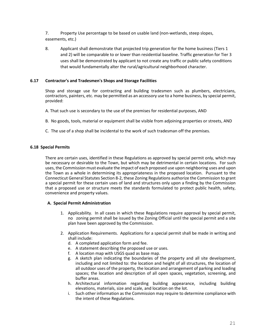7. Property Use percentage to be based on usable land (non-wetlands, steep slopes, easements, etc.)

8. Applicant shall demonstrate that projected trip generation for the home business (Tiers 1 and 2) will be comparable to or lower than residential baseline. Traffic generation for Tier 3 uses shall be demonstrated by applicant to not create any traffic or public safety conditions that would fundamentally alter the rural/agricultural neighborhood character.

## **6.17 Contractor's and Tradesmen's Shops and Storage Facilities**

Shop and storage use for contracting and building tradesmen such as plumbers, electricians, contractors, painters, etc. may be permitted as an accessory use to a home business, by special permit, provided:

- A. That such use is secondary to the use of the premises for residential purposes, AND
- B. No goods, tools, material or equipment shall be visible from adjoining properties or streets, AND
- C. The use of a shop shall be incidental to the work of such tradesman off the premises.

### **6.18 Special Permits**

There are certain uses, identified in these Regulations as approved by special permit only, which may be necessary or desirable to the Town, but which may be detrimental in certain locations. For such uses, the Commission must evaluate the impact of each proposed use upon neighboring uses and upon the Town as a whole in determining its appropriateness in the proposed location. Pursuant to the Connecticut General Statutes Section 8-2, these Zoning Regulations authorize the Commission to grant a special permit for these certain uses of land and structures only upon a finding by the Commission that a proposed use or structure meets the standards formulated to protect public health, safety, convenience and property values.

### **A. Special Permit Administration**

- 1. Applicability. In all cases in which these Regulations require approval by special permit, no zoning permit shall be issued by the Zoning Official until the special permit and a site plan have been approved by the Commission.
- 2. Application Requirements. Applications for a special permit shall be made in writing and shall include:
	- d. A completed application form and fee.
	- e. A statement describing the proposed use or uses.
	- f. A location map with USGS quad as base map.
	- g. A sketch plan indicating the boundaries of the property and all site development, including and not limited to: the location and height of all structures, the location of all outdoor uses of the property, the location and arrangement of parking and loading spaces; the location and description of all open spaces, vegetation, screening, and buffer areas.
	- h. Architectural information regarding building appearance, including building elevations, materials, size and scale, and location on the lot.
	- i. Such other information as the Commission may require to determine compliance with the intent of these Regulations.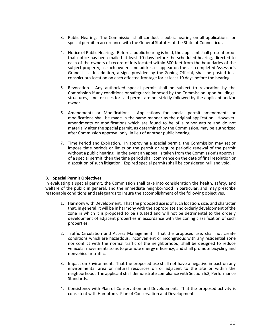- 3. Public Hearing. The Commission shall conduct a public hearing on all applications for special permit in accordance with the General Statutes of the State of Connecticut.
- 4. Notice of Public Hearing. Before a public hearing is held, the applicant shall present proof that notice has been mailed at least 10 days before the scheduled hearing, directed to each of the owners of record of lots located within 500 feet from the boundaries of the subject property, as such owners and addresses appear on the last completed Assessor's Grand List. In addition, a sign, provided by the Zoning Official, shall be posted in a conspicuous location on each affected frontage for at least 10 days before the hearing.
- 5. Revocation. Any authorized special permit shall be subject to revocation by the Commission if any conditions or safeguards imposed by the Commission upon buildings, structures, land, or uses for said permit are not strictly followed by the applicant and/or owner.
- 6. Amendments or Modifications. Applications for special permit amendments or modifications shall be made in the same manner as the original application. However, amendments or modifications which are found to be of a minor nature and do not materially alter the special permit, as determined by the Commission, may be authorized after Commission approval only, in lieu of another public hearing.
- 7. Time Period and Expiration. In approving a special permit, the Commission may set or impose time periods or limits on the permit or require periodic renewal of the permit without a public hearing. In the event an appeal is taken from the Commission's approval of a special permit, then the time period shall commence on the date of final resolution or disposition of such litigation. Expired special permits shall be considered null and void.

### **B. Special Permit Objectives**.

In evaluating a special permit, the Commission shall take into consideration the health, safety, and welfare of the public in general, and the immediate neighborhood in particular, and may prescribe reasonable conditions and safeguards to insure the accomplishment of the following objectives.

- 1. Harmony with Development. That the proposed use is of such location, size, and character that, in general, it will be in harmony with the appropriate and orderly development of the zone in which it is proposed to be situated and will not be detrimental to the orderly development of adjacent properties in accordance with the zoning classification of such properties.
- 2. Traffic Circulation and Access Management. That the proposed use: shall not create conditions which are hazardous, inconvenient or incongruous with any residential zone nor conflict with the normal traffic of the neighborhood; shall be designed to reduce vehicular movements so as to promote energy efficiency; and shall promote bicycling and nonvehicular traffic.
- 3. Impact on Environment. That the proposed use shall not have a negative impact on any environmental area or natural resources on or adjacent to the site or within the neighborhood. The applicant shall demonstrate compliance with Section 6.2, Performance Standards.
- 4. Consistency with Plan of Conservation and Development. That the proposed activity is consistent with Hampton's Plan of Conservation and Development.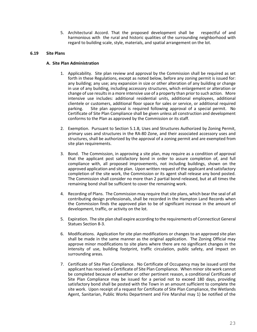5. Architectural Accord. That the proposed development shall be respectful of and harmonious with the rural and historic qualities of the surrounding neighborhood with regard to building scale, style, materials, and spatial arrangement on the lot.

#### **6.19 Site Plans**

#### **A. Site Plan Administration**

- 1. Applicability. Site plan review and approval by the Commission shall be required as set forth in these Regulations, except as noted below, before any zoning permit is issued for: any building; any use; any expansion in size or other alteration of any building or change in use of any building, including accessory structures, which enlargement or alteration or change of use results in a more intensive use of a property than prior to such action. More intensive use includes: additional residential units, additional employees, additional clientele or customers, additional floor space for sales or service, or additional required parking. Site plan approval is required following approval of a special permit. No Certificate of Site Plan Compliance shall be given unless all construction and development conforms to the Plan as approved by the Commission or its staff.
- 2. Exemption. Pursuant to Section 5.1.B, Uses and Structures Authorized by Zoning Permit, primary uses and structures in the RA-80 Zone, and their associated accessory uses and structures, shall be authorized by the approval of a zoning permit and are exempted from site plan requirements.
- 3. Bond. The Commission, in approving a site plan, may require as a condition of approval that the applicant post satisfactory bond in order to assure completion of, and full compliance with, all proposed improvements, not including buildings, shown on the approved application and site plan. Upon written request of the applicant and satisfactory completion of the site work, the Commission or its agent shall release any bond posted. The Commission shall consider no more than 2 partial bond released, but at all times the remaining bond shall be sufficient to cover the remaining work.
- 4. Recording of Plans. The Commission may require that site plans, which bear the seal of all contributing design professionals, shall be recorded in the Hampton Land Records when the Commission finds the approved plan to be of significant increase in the amount of development, traffic, or activity on the lot.
- 5. Expiration. The site plan shall expire according to the requirements of Connecticut General Statues Section 8-3.
- 6. Modifications. Application for site plan modifications or changes to an approved site plan shall be made in the same manner as the original application. The Zoning Official may approve minor modifications to site plans where there are no significant changes in the intensity of use, building footprint, traffic circulation, public safety, and impact on surrounding areas.
- 7. Certificate of Site Plan Compliance. No Certificate of Occupancy may be issued until the applicant has received a Certificate of Site Plan Compliance. When minor site work cannot be completed because of weather or other pertinent reason, a conditional Certificate of Site Plan Compliance may be issued for a period not to exceed 180 days, providing satisfactory bond shall be posted with the Town in an amount sufficient to complete the site work. Upon receipt of a request for Certificate of Site Plan Compliance, the Wetlands Agent, Sanitarian, Public Works Department and Fire Marshal may 1) be notified of the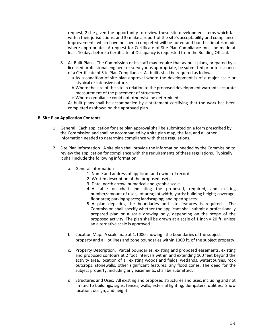request, 2) be given the opportunity to review those site development items which fall within their jurisdictions, and 3) make a report of the site's acceptability and compliance. Improvements which have not been completed will be noted and bond estimates made where appropriate. A request for Certificate of Site Plan Compliance must be made at least 10 days before a Certificate of Occupancy is requested from the Building Official.

- 8. As-Built Plans. The Commission or its staff may require that as-built plans, prepared by a licensed professional engineer or surveyor as appropriate, be submitted prior to issuance of a Certificate of Site Plan Compliance. As-builts shall be required as follows:
	- a.As a condition of site plan approval where the development is of a major scale or atypical or intensive nature.
	- b.Where the size of the site in relation to the proposed development warrants accurate measurement of the placement of structures.
	- c.Where compliance could not otherwise be determined.

As-built plans shall be accompanied by a statement certifying that the work has been completed as shown on the approved plan.

### **B. Site Plan Application Contents**

- 1. General. Each application for site plan approval shall be submitted on a form prescribed by the Commission and shall be accompanied by a site plan map, the fee, and all other information needed to determine compliance with these regulations.
- 2. Site Plan Information. A site plan shall provide the information needed by the Commission to review the application for compliance with the requirements of these regulations. Typically, it shall include the following information:
	- a. General Information
		- 1. Name and address of applicant and owner of record.
		- 2. Written description of the proposed use(s).
		- 3. Date, north arrow, numerical and graphic scale.
		- 4. A table or chart indicating the proposed, required, and existing number/amount of uses; lot area; lot width; yards; building height; coverage; floor area; parking spaces; landscaping; and open spaces.
		- 5. A plan depicting the boundaries and site features is required. The Commission shall specify whether the applicant shall submit a professionally prepared plan or a scale drawing only, depending on the scope of the proposed activity. The plan shall be drawn at a scale of 1 inch = 20 ft. unless an alternative scale is approved.
	- b. Location Map. A scale map at 1:1000 showing: the boundaries of the subject property and all lot lines and zone boundaries within 1000 ft. of the subject property.
	- c. Property Description. Parcel boundaries, existing and proposed easements, existing and proposed contours at 2 foot intervals within and extending 100 feet beyond the activity area, location of all existing woods and fields, wetlands, watercourses, rock outcrops, stonewalls, other significant features, any flood zones. The deed for the subject property, including any easements, shall be submitted.
	- d. Structures and Uses. All existing and proposed structures and uses, including and not limited to buildings, signs, fences, walls, external lighting, dumpsters, utilities. Show location, design, and height.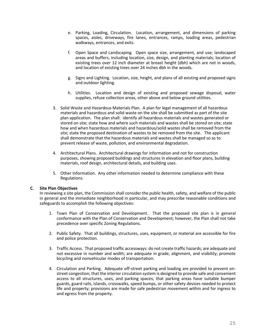- e. Parking, Loading, Circulation. Location, arrangement, and dimensions of parking spaces, aisles, driveways, fire lanes, entrances, ramps, loading areas, pedestrian walkways, entrances, and exits.
- f. Open Space and Landscaping. Open space size, arrangement, and use; landscaped areas and buffers, including location, size, design, and planting materials; location of existing trees over 12 inch diameter at breast height (dbh) which are not in woods, and location of existing trees over 24 inches dbh in the woods.
- g. Signs and Lighting. Location, size, height, and plans of all existing and proposed signs and outdoor lighting.
- h. Utilities. Location and design of existing and proposed sewage disposal, water supplies, refuse collection areas, other above and below ground utilities.
- 3. Solid Waste and Hazardous Materials Plan. A plan for legal management of all hazardous materials and hazardous and solid waste on the site shall be submitted as part of the site plan application. The plan shall: identify all hazardous materials and wastes generated or stored on site; state how and where such materials and wastes shall be stored on site; state how and when hazardous materials and hazardous/solid wastes shall be removed from the site; state the proposed destination of wastes to be removed from the site. The applicant shall demonstrate that the hazardous materials and wastes shall be managed so as to prevent release of waste, pollution, and environmental degradation.
- . 4. Architectural Plans. Architectural drawings for information and not for construction purposes, showing proposed buildings and structures in elevation and floor plans, building materials, roof design, architectural details, and building uses.
- 5. Other Information. Any other information needed to determine compliance with these Regulations.

### **C. Site Plan Objectives**

In reviewing a site plan, the Commission shall consider the public health, safety, and welfare of the public in general and the immediate neighborhood in particular, and may prescribe reasonable conditions and safeguards to accomplish the following objectives:

- 1. Town Plan of Conservation and Development. That the proposed site plan is in general conformance with the Plan of Conservation and Development; however, the Plan shall not take precedence over specific Zoning Regulations.
- 2. Public Safety. That all buildings, structures, uses, equipment, or material are accessible for fire and police protection.
- 3. Traffic Access. That proposed traffic accessways: do not create traffic hazards; are adequate and not excessive in number and width; are adequate in grade, alignment, and visibility; promote bicycling and nonvehicular modes of transportation.
- 4. Circulation and Parking. Adequate off-street parking and loading are provided to prevent onstreet congestion; that the interior circulation system is designed to provide safe and convenient access to all structures, uses, and parking spaces; that parking areas have suitable bumper guards, guard rails, islands, crosswalks, speed bumps, or other safety devices needed to protect life and property; provisions are made for safe pedestrian movement within and for ingress to and egress from the property.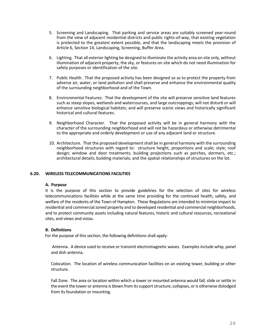- 5. Screening and Landscaping. That parking and service areas are suitably screened year-round from the view of adjacent residential districts and public rights-of-way, that existing vegetation is protected to the greatest extent possible, and that the landscaping meets the provision of Article 6, Section 14, Landscaping, Screening, Buffer Area.
- 6. Lighting. That all exterior lighting be designed to illuminate the activity area on site only, without illumination of adjacent property, the sky, or features on site which do not need illumination for safety purposes or identification of the site.
- 7. Public Health. That the proposed activity has been designed so as to protect the property from adverse air, water, or land pollution and shall preserve and enhance the environmental quality of the surrounding neighborhood and of the Town.
- 8. Environmental Features. That the development of the site will preserve sensitive land features such as steep slopes, wetlands and watercourses, and large outcroppings; will not disturb or will enhance sensitive biological habitats; and will preserve scenic views and historically significant historical and cultural features.
- 9. Neighborhood Character. That the proposed activity will be in general harmony with the character of the surrounding neighborhood and will not be hazardous or otherwise detrimental to the appropriate and orderly development or use of any adjacent land or structure.
- 10. Architecture. That the proposed development shall be in general harmony with the surrounding neighborhood structures with regard to: structure height, proportions and scale; style; roof design; window and door treatments; building projections such as porches, dormers, etc.; architectural details; building materials; and the spatial relationships of structures on the lot.

### **6.20. WIRELESS TELECOMMUNICATIONS FACILITIES**

#### **A. Purpose**

It is the purpose of this section to provide guidelines for the selection of sites for wireless telecommunications facilities while at the same time providing for the continued health, safety, and welfare of the residents of the Town of Hampton. These Regulations are intended to minimize impact to residential and commercial zoned property and to developed residential and commercial neighborhoods, and to protect community assets including natural features, historic and cultural resources, recreational sites, and views and vistas.

#### **B. Definitions**

For the purpose of this section, the following definitions shall apply:

 Antenna. A device used to receive or transmit electromagnetic waves. Examples include whip, panel and dish antenna.

Colocation. The location of wireless communication facilities on an existing tower, building or other structure.

Fall Zone. The area or location within which a tower or mounted antenna would fall, slide or settle in the event the tower or antenna is blown from its support structure, collapses, or is otherwise dislodged from its foundation or mounting.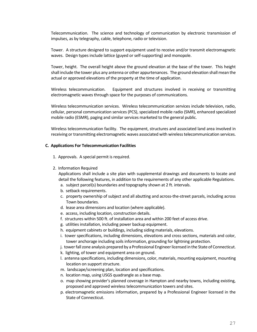Telecommunication. The science and technology of communication by electronic transmission of impulses, as by telegraphy, cable, telephone, radio or television.

Tower. A structure designed to support equipment used to receive and/or transmit electromagnetic waves. Design types include lattice (guyed or self-supporting) and monopole.

Tower, height. The overall height above the ground elevation at the base of the tower. This height shall include the tower plus any antenna or other appurtenances. The ground elevation shall mean the actual or approved elevations of the property at the time of application.

Wireless telecommunication. Equipment and structures involved in receiving or transmitting electromagnetic waves through space for the purposes of communications.

Wireless telecommunication services. Wireless telecommunication services include television, radio, cellular, personal communication services (PCS), specialized mobile radio (SMR), enhanced specialized mobile radio (ESMR), paging and similar services marketed to the general public.

Wireless telecommunication facility. The equipment, structures and associated land area involved in receiving or transmitting electromagnetic waves associated with wireless telecommunication services.

#### **C. Applications For Telecommunication Facilities**

- 1. Approvals. A special permit is required.
- 2. Information Required

Applications shall include a site plan with supplemental drawings and documents to locate and detail the following features, in addition to the requirements of any other applicable Regulations.

- a. subject parcel(s) boundaries and topography shown at 2 ft. intervals.
- b. setback requirements.
- c. property ownership of subject and all abutting and across-the-street parcels, including across Town boundaries.
- d. lease area dimensions and location (where applicable).
- e. access, including location, construction details.
- f. structures within 500 ft. of installation area and within 200 feet of access drive.
- g. utilities installation, including power backup equipment.
- h. equipment cabinets or buildings, including siding materials, elevations.
- i. tower specifications, including dimensions, elevations and cross sections, materials and color, tower anchorage including soils information, grounding for lightning protection.
- j. tower fall zone analysis prepared by a Professional Engineer licensed in the State of Connecticut.
- k. lighting, of tower and equipment area on ground.
- l. antenna specifications, including dimensions, color, materials, mounting equipment, mounting location on support structure.
- m. landscape/screening plan, location and specifications.
- n. location map, using USGS quadrangle as a base map.
- o. map showing provider's planned coverage in Hampton and nearby towns, including existing, proposed and approved wireless telecommunication towers and sites.
- p. electromagnetic emissions information, prepared by a Professional Engineer licensed in the State of Connecticut.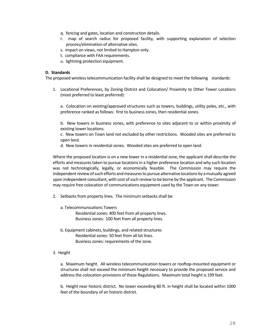- q. fencing and gates, location and construction details.
- r. map of search radius for proposed facility, with supporting explanation of selection process/elimination of alternative sites.
- s. impact on views, not limited to Hampton only.
- t. compliance with FAA requirements.
- u. lightning protection equipment.

### **D. Standards**

The proposed wireless telecommunication facility shall be designed to meet the following standards:

1. Locational Preferences, by Zoning District and Colocation/ Proximity to Other Tower Locations (most preferred to least preferred):

a. Colocation on existing/approved structures such as towers, buildings, utility poles, etc., with preference ranked as follows: first to business zones, then residential zones.

b. New towers in business zones, with preference to sites adjacent to or within proximity of existing tower locations.

c. New towers on Town land not excluded by other restrictions. Wooded sites are preferred to open land.

d. New towers in residential zones. Wooded sites are preferred to open land.

Where the proposed location is on a new tower in a residential zone, the applicant shall describe the efforts and measures taken to pursue locations in a higher preference location and why such location was not technologically, legally, or economically feasible. The Commission may require the independent review of such efforts and measures to pursue alternative locations by a mutually agreed upon independent consultant, with cost of such review to be borne by the applicant. The Commission may require free colocation of communications equipment used by the Town on any tower.

- 2. Setbacks from property lines. The minimum setbacks shall be:
	- a. Telecommunications Towers Residential zones: 400 feet from all property lines. Business zones: 100 feet from all property lines.
	- b. Equipment cabinets, buildings, and related structures Residential zones: 50 feet from all lot lines. Business zones: requirements of the zone.
- 3. Height

a. Maximum height. All wireless telecommunication towers or rooftop-mounted equipment or structures shall not exceed the minimum height necessary to provide the proposed service and address the colocation provisions of these Regulations. Maximum total height is 199 feet.

b. Height near historic district. No tower exceeding 80 ft. in height shall be located within 1000 feet of the boundary of an historic district.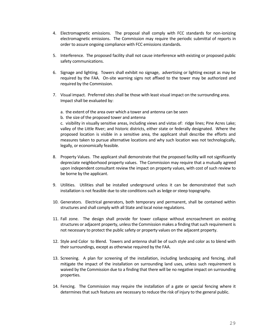- 4. Electromagnetic emissions. The proposal shall comply with FCC standards for non-ionizing electromagnetic emissions. The Commission may require the periodic submittal of reports in order to assure ongoing compliance with FCC emissions standards.
- 5. Interference. The proposed facility shall not cause interference with existing or proposed public safety communications.
- 6. Signage and lighting. Towers shall exhibit no signage, advertising or lighting except as may be required by the FAA. On-site warning signs not affixed to the tower may be authorized and required by the Commission.
- 7. Visual impact. Preferred sites shall be those with least visual impact on the surrounding area. Impact shall be evaluated by:
	- a. the extent of the area over which a tower and antenna can be seen
	- b. the size of the proposed tower and antenna

c. visibility in visually sensitive areas, including views and vistas of: ridge lines; Pine Acres Lake; valley of the Little River; and historic districts, either state or federally designated. Where the proposed location is visible in a sensitive area, the applicant shall describe the efforts and measures taken to pursue alternative locations and why such location was not technologically, legally, or economically feasible.

- 8. Property Values. The applicant shall demonstrate that the proposed facility will not significantly depreciate neighborhood property values. The Commission may require that a mutually agreed upon independent consultant review the impact on property values, with cost of such review to be borne by the applicant.
- 9. Utilities. Utilities shall be installed underground unless it can be demonstrated that such installation is not feasible due to site conditions such as ledge or steep topography.
- 10. Generators. Electrical generators, both temporary and permanent, shall be contained within structures and shall comply with all State and local noise regulations.
- 11. Fall zone. The design shall provide for tower collapse without encroachment on existing structures or adjacent property, unless the Commission makes a finding that such requirement is not necessary to protect the public safety or property values on the adjacent property.
- 12. Style and Color to Blend. Towers and antenna shall be of such style and color as to blend with their surroundings, except as otherwise required by the FAA.
- 13. Screening. A plan for screening of the installation, including landscaping and fencing, shall mitigate the impact of the installation on surrounding land uses, unless such requirement is waived by the Commission due to a finding that there will be no negative impact on surrounding properties.
- 14. Fencing. The Commission may require the installation of a gate or special fencing where it determines that such features are necessary to reduce the risk of injury to the general public.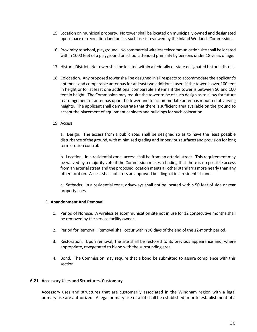- 15. Location on municipal property. No tower shall be located on municipally owned and designated open space or recreation land unless such use is reviewed by the Inland Wetlands Commission.
- 16. Proximity to school, playground. No commercial wireless telecommunication site shall be located within 1000 feet of a playground or school attended primarily by persons under 18 years of age.
- 17. Historic District. No tower shall be located within a federally or state designated historic district.
- 18. Colocation. Any proposed tower shall be designed in all respects to accommodate the applicant's antennas and comparable antennas for at least two additional users if the tower is over 100 feet in height or for at least one additional comparable antenna if the tower is between 50 and 100 feet in height. The Commission may require the tower to be of such design as to allow for future rearrangement of antennas upon the tower and to accommodate antennas mounted at varying heights. The applicant shall demonstrate that there is sufficient area available on the ground to accept the placement of equipment cabinets and buildings for such colocation.
- 19. Access

a. Design. The access from a public road shall be designed so as to have the least possible disturbance of the ground, with minimized grading and impervious surfaces and provision for long term erosion control.

b. Location. In a residential zone, access shall be from an arterial street. This requirement may be waived by a majority vote if the Commission makes a finding that there is no possible access from an arterial street and the proposed location meets all other standards more nearly than any other location. Access shall not cross an approved building lot in a residential zone.

c. Setbacks. In a residential zone, driveways shall not be located within 50 feet of side or rear property lines.

### **E. Abandonment And Removal**

- 1. Period of Nonuse. A wireless telecommunication site not in use for 12 consecutive months shall be removed by the service facility owner.
- 2. Period for Removal. Removal shall occur within 90 days of the end of the 12-month period.
- 3. Restoration. Upon removal, the site shall be restored to its previous appearance and, where appropriate, revegetated to blend with the surrounding area.
- 4. Bond. The Commission may require that a bond be submitted to assure compliance with this section.

### **6.21 Accessory Uses and Structures, Customary**

Accessory uses and structures that are customarily associated in the Windham region with a legal primary use are authorized. A legal primary use of a lot shall be established prior to establishment of a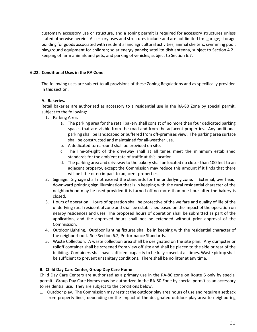customary accessory use or structure, and a zoning permit is required for accessory structures unless stated otherwise herein. Accessory uses and structures include and are not limited to: garage; storage building for goods associated with residential and agricultural activities; animal shelters; swimming pool; playground equipment for children; solar energy panels; satellite dish antenna, subject to Section 4.2 ; keeping of farm animals and pets; and parking of vehicles, subject to Section 6.7.

# **6.22. Conditional Uses in the RA-Zone.**

The following uses are subject to all provisions of these Zoning Regulations and as specifically provided in this section.

## **A. Bakeries.**

Retail bakeries are authorized as accessory to a residential use in the RA-80 Zone by special permit, subject to the following:

- 1. Parking Area.
	- a. The parking area for the retail bakery shall consist of no more than four dedicated parking spaces that are visible from the road and from the adjacent properties. Any additional parking shall be landscaped or buffered from off-premises view. The parking area surface shall be constructed and maintained for all-weather use.
	- b. A dedicated turnaround shall be provided on site.
	- c. The line-of-sight of the driveway shall at all times meet the minimum established standards for the ambient rate of traffic at this location.
	- d. The parking area and driveway to the bakery shall be located no closer than 100 feet to an adjacent property, except the Commission may reduce this amount if it finds that there will be little or no impact to adjacent properties.
- 2. Signage. Signage shall not exceed the standards for the underlying zone. External, overhead, downward pointing sign illumination that is in keeping with the rural residential character of the neighborhood may be used provided it is turned off no more than one hour after the bakery is closed.
- 3. Hours of operation. Hours of operation shall be protective of the welfare and quality of life of the underlying rural-residential zone and shall be established based on the impact of the operation on nearby residences and uses. The proposed hours of operation shall be submitted as part of the application, and the approved hours shall not be extended without prior approval of the Commission.
- 4. Outdoor Lighting. Outdoor lighting fixtures shall be in keeping with the residential character of the neighborhood. See Section 6.2, Performance Standards.
- 5. Waste Collection. A waste collection area shall be designated on the site plan. Any dumpster or rolloff container shall be screened from view off site and shall be placed to the side or rear of the building. Containers shall have sufficient capacity to be fully closed at all times. Waste pickup shall be sufficient to prevent unsanitary conditions. There shall be no litter at any time.

### **B. Child Day Care Center, Group Day Care Home**

Child Day Care Centers are authorized as a primary use in the RA-80 zone on Route 6 only by special permit. Group Day Care Homes may be authorized in the RA-80 Zone by special permit as an accessory to residential use. They are subject to the conditions below.

1. Outdoor play. The Commission may restrict the outdoor play area hours of use and require a setback from property lines, depending on the impact of the designated outdoor play area to neighboring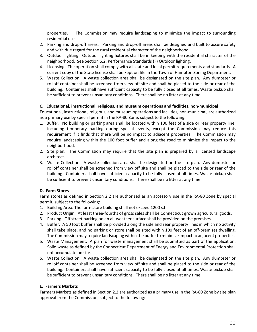properties. The Commission may require landscaping to minimize the impact to surrounding residential uses.

- 2. Parking and drop-off areas. Parking and drop-off areas shall be designed and built to assure safety and with due regard for the rural residential character of the neighborhood.
- 3. Outdoor lighting. Outdoor lighting fixtures shall be in keeping with the residential character of the neighborhood. See Section 6.2, Performance Standards (F) Outdoor lighting.
- 4. Licensing. The operation shall comply with all state and local permit requirements and standards. A current copy of the State license shall be kept on file in the Town of Hampton Zoning Department.
- 5. Waste Collection. A waste collection area shall be designated on the site plan. Any dumpster or rolloff container shall be screened from view off site and shall be placed to the side or rear of the building. Containers shall have sufficient capacity to be fully closed at all times. Waste pickup shall be sufficient to prevent unsanitary conditions. There shall be no litter at any time.

## **C. Educational, instructional, religious, and museum operations and facilities, non-municipal**

Educational, instructional, religious, and museum operations and facilities, non-municipal, are authorized as a primary use by special permit in the RA-80 Zone, subject to the following:

- 1. Buffer. No building or parking area shall be located within 100 feet of a side or rear property line, including temporary parking during special events, except the Commission may reduce this requirement if it finds that there will be no impact to adjacent properties. The Commission may require landscaping within the 100 foot buffer and along the road to minimize the impact to the neighborhood.
- 2. Site plan. The Commission may require that the site plan is prepared by a licensed landscape architect.
- 3. Waste Collection. A waste collection area shall be designated on the site plan. Any dumpster or rolloff container shall be screened from view off site and shall be placed to the side or rear of the building. Containers shall have sufficient capacity to be fully closed at all times. Waste pickup shall be sufficient to prevent unsanitary conditions. There shall be no litter at any time.

# **D. Farm Stores**

Farm stores as defined in Section 2.2 are authorized as an accessory use in the RA-80 Zone by special permit, subject to the following:

- 1. Building Area. The farm store building shall not exceed 1200 s.f.
- 2. Product Origin. At least three-fourths of gross sales shall be Connecticut grown agricultural goods.
- 3. Parking. Off street parking on an all-weather surface shall be provided on the premises.
- 4. Buffer. A 50 foot buffer shall be provided along the side and rear property lines in which no activity shall take place, and no parking or store shall be sited within 100 feet of an off-premises dwelling. The Commission may require landscaping within the buffer to minimize impact to adjacent properties.
- 5. Waste Management. A plan for waste management shall be submitted as part of the application. Solid waste as defined by the Connecticut Department of Energy and Environmental Protection shall not accumulate on site.
- 6. Waste Collection. A waste collection area shall be designated on the site plan. Any dumpster or rolloff container shall be screened from view off site and shall be placed to the side or rear of the building. Containers shall have sufficient capacity to be fully closed at all times. Waste pickup shall be sufficient to prevent unsanitary conditions. There shall be no litter at any time.

### **E. Farmers Markets**

Farmers Markets as defined in Section 2.2 are authorized as a primary use in the RA-80 Zone by site plan approval from the Commission, subject to the following: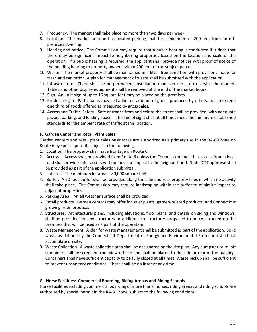- 7. Frequency. The market shall take place no more than two days per week.
- 8. Location. The market area and associated parking shall be a minimum of 200 feet from an offpremises dwelling
- 9. Hearing and notice. The Commission may require that a public hearing is conducted if it finds that there may be significant impact to neighboring properties based on the location and scale of the operation. If a public hearing is required, the applicant shall provide notices with proof of notice of the pending hearing to property owners within 200 feet of the subject parcel.
- 10. Waste. The market property shall be maintained in a litter-free condition with provisions made for trash and sanitation. A plan for management of waste shall be submitted with the application.
- 11. Infrastructure. There shall be no permanent installation made on the site to service the market. Tables and other display equipment shall be removed at the end of the market hours.
- 12. Sign. An unlit sign of up to 16 square feet may be placed on the premises.
- 13. Product origin. Participants may sell a limited amount of goods produced by others, not to exceed one third of goods offered as measured by gross sales.
- 14. Access and Traffic Safety . Safe entrance from and exit to the street shall be provided, with adequate pickup, parking, and loading space . The line of sight shall at all times meet the minimum established standards for the ambient rate of traffic at this location.

## **F. Garden Center and Retail Plant Sales**

Garden centers and retail plant sales businesses are authorized as a primary use in the RA-80 Zone on Route 6 by special permit, subject to the following:

- 1. Location. The property shall have frontage on Route 6.
- 2. Access. Access shall be provided from Route 6 unless the Commission finds that access from a local road shall provide safer access without adverse impact to the neighborhood. State DOT approval shall be provided as part of the application submittal.
- 3. Lot area. The minimum lot area is 80,000 square feet.
- 4. Buffer. A 50 foot buffer shall be provided along the side and rear property lines in which no activity shall take place. The Commission may require landscaping within the buffer to minimize impact to adjacent properties.
- 5. Parking Area. An all weather surface shall be provided.
- 6. Retail products. Garden centers may offer for sale: plants, garden-related products, and Connecticut grown garden produce.
- 7. Structures. Architectural plans, including elevations, floor plans, and details on siding and windows, shall be provided for any structures or additions to structures proposed to be constructed on the premises that will be used as a part of the operation.
- 8. Waste Management. A plan for waste management shall be submitted as part of the application. Solid waste as defined by the Connecticut Department of Energy and Environmental Protection shall not accumulate on site.
- 9. Waste Collection. A waste collection area shall be designated on the site plan. Any dumpster or rolloff container shall be screened from view off site and shall be placed to the side or rear of the building. Containers shall have sufficient capacity to be fully closed at all times. Waste pickup shall be sufficient to prevent unsanitary conditions. There shall be no litter at any time.

### **G. Horse Facilities: Commercial Boarding, Riding Arenas and Riding Schools**

Horse Facilities including commercial boarding of more than 6 horses, riding arenas and riding schools are authorized by special permit in the RA-80 Zone, subject to the following conditions: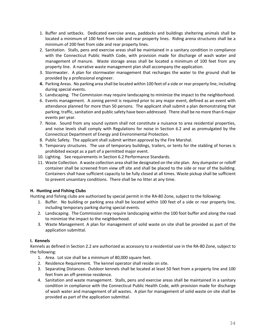- 1. Buffer and setbacks. Dedicated exercise areas, paddocks and buildings sheltering animals shall be located a minimum of 100 feet from side and rear property lines. Riding arena structures shall be a minimum of 200 feet from side and rear property lines.
- 2. Sanitation. Stalls, pens and exercise areas shall be maintained in a sanitary condition in compliance with the Connecticut Public Health Code, with provision made for discharge of wash water and management of manure. Waste storage areas shall be located a minimum of 100 feet from any property line. A narrative waste management plan shall accompany the application.
- 3. Stormwater. A plan for stormwater management that recharges the water to the ground shall be provided by a professional engineer.
- **4.** Parking Areas. No parking area shall be located within 100 feet of a side or rear property line, including during special events.
- 5. Landscaping. The Commission may require landscaping to minimize the impact to the neighborhood.
- 6. Events management. A zoning permit is required prior to any major event, defined as an event with attendance planned for more than 50 persons. The applicant shall submit a plan demonstrating that parking, traffic, sanitation and public safety have been addressed. There shall be no more than 6 major events per year.
- 7. Noise. Sound from any sound system shall not constitute a nuisance to area residential properties, and noise levels shall comply with Regulations for noise in Section 6.2 and as promulgated by the Connecticut Department of Energy and Environmental Protection.
- 8. Public Safety. The applicant shall submit written approval by the Fire Marshal.
- 9. Temporary structures. The use of temporary buildings, trailers, or tents for the stabling of horses is prohibited except as a part of a permitted major event.
- 10. Lighting. See requirements in Section 6.2 Performance Standards.
- 11. Waste Collection. A waste collection area shall be designated on the site plan. Any dumpster or rolloff container shall be screened from view off site and shall be placed to the side or rear of the building. Containers shall have sufficient capacity to be fully closed at all times. Waste pickup shall be sufficient to prevent unsanitary conditions. There shall be no litter at any time.

# **H. Hunting and Fishing Clubs**

Hunting and fishing clubs are authorized by special permit in the RA-80 Zone, subject to the following:

- 1. Buffer. No building or parking area shall be located within 100 feet of a side or rear property line, including temporary parking during special events.
- 2. Landscaping. The Commission may require landscaping within the 100 foot buffer and along the road to minimize the impact to the neighborhood.
- 3. Waste Management. A plan for management of solid waste on site shall be provided as part of the application submittal.

### **I. Kennels**

Kennels as defined in Section 2.2 are authorized as accessory to a residential use in the RA-80 Zone, subject to the following:

- 1. Area. Lot size shall be a minimum of 80,000 square feet.
- 2. Residence Requirement. The kennel operator shall reside on site.
- 3. Separating Distances. Outdoor kennels shall be located at least 50 feet from a property line and 100 feet from an off-premise residence.
- 4. Sanitation and waste management. Stalls, pens and exercise areas shall be maintained in a sanitary condition in compliance with the Connecticut Public Health Code, with provision made for discharge of wash water and management of all wastes. A plan for management of solid waste on site shall be provided as part of the application submittal.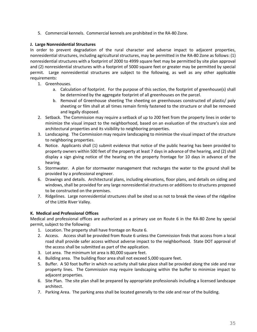5. Commercial kennels. Commercial kennels are prohibited in the RA-80 Zone.

# **J. Large Nonresidential Structures**

In order to prevent degradation of the rural character and adverse impact to adjacent properties, nonresidential structures, including agricultural structures, may be permitted in the RA-80 Zone as follows: (1) nonresidential structures with a footprint of 2000 to 4999 square feet may be permitted by site plan approval and (2) nonresidential structures with a footprint of 5000 square feet or greater may be permitted by special permit. Large nonresidential structures are subject to the following, as well as any other applicable requirements:

- 1. Greenhouses.
	- a. Calculation of footprint. For the purpose of this section, the footprint of greenhouse(s) shall be determined by the aggregate footprint of all greenhouses on the parcel.
	- b. Removal of Greenhouse sheeting The sheeting on greenhouses constructed of plastic/ poly sheeting or film shall at all times remain firmly fastened to the structure or shall be removed and legally disposed.
- 2. Setback. The Commission may require a setback of up to 200 feet from the property lines in order to minimize the visual impact to the neighborhood, based on an evaluation of the structure's size and architectural properties and its visibility to neighboring properties.
- 3. Landscaping. The Commission may require landscaping to minimize the visual impact of the structure to neighboring properties.
- 4. Notice. Applicants shall (1) submit evidence that notice of the public hearing has been provided to property owners within 500 feet of the property at least 7 days in advance of the hearing, and (2) shall display a sign giving notice of the hearing on the property frontage for 10 days in advance of the hearing.
- 5. Stormwater. A plan for stormwater management that recharges the water to the ground shall be provided by a professional engineer.
- 6. Drawings and details. Architectural plans, including elevations, floor plans, and details on siding and windows, shall be provided for any large nonresidential structures or additions to structures proposed to be constructed on the premises.
- 7. Ridgelines. Large nonresidential structures shall be sited so as not to break the views of the ridgeline of the Little River Valley.

# **K. Medical and Professional Offices**

Medical and professional offices are authorized as a primary use on Route 6 in the RA-80 Zone by special permit, subject to the following:

- 1. Location. The property shall have frontage on Route 6.
- 2. Access. Access shall be provided from Route 6 unless the Commission finds that access from a local road shall provide safer access without adverse impact to the neighborhood. State DOT approval of the access shall be submitted as part of the application.
- 3. Lot area. The minimum lot area is 80,000 square feet.
- 4. Building area. The building floor area shall not exceed 5,000 square feet.
- 5. Buffer. A 50 foot buffer in which no activity shall take place shall be provided along the side and rear property lines. The Commission may require landscaping within the buffer to minimize impact to adjacent properties.
- 6. Site Plan. The site plan shall be prepared by appropriate professionals including a licensed landscape architect.
- 7. Parking Area. The parking area shall be located generally to the side and rear of the building.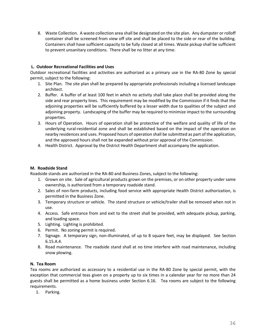8. Waste Collection. A waste collection area shall be designated on the site plan. Any dumpster or rolloff container shall be screened from view off site and shall be placed to the side or rear of the building. Containers shall have sufficient capacity to be fully closed at all times. Waste pickup shall be sufficient to prevent unsanitary conditions. There shall be no litter at any time.

# **L. Outdoor Recreational Facilities and Uses**

Outdoor recreational facilities and activities are authorized as a primary use in the RA-80 Zone by special permit, subject to the following:

- 1. Site Plan. The site plan shall be prepared by appropriate professionals including a licensed landscape architect.
- 2. Buffer. A buffer of at least 100 feet in which no activity shall take place shall be provided along the side and rear property lines. This requirement may be modified by the Commission if it finds that the adjoining properties will be sufficiently buffered by a lesser width due to qualities of the subject and adjoining property. Landscaping of the buffer may be required to minimize impact to the surrounding properties.
- 3. Hours of Operation. Hours of operation shall be protective of the welfare and quality of life of the underlying rural-residential zone and shall be established based on the impact of the operation on nearby residences and uses. Proposed hours of operation shall be submitted as part of the application, and the approved hours shall not be expanded without prior approval of the Commission.
- 4. Health District. Approval by the District Health Department shall accompany the application.

### **M. Roadside Stand**

Roadside stands are authorized in the RA-80 and Business Zones, subject to the following:

- 1. Grown on site. Sale of agricultural products grown on the premises, or on other property under same ownership, is authorized from a temporary roadside stand.
- 2. Sales of non-farm products, including food service with appropriate Health District authorization, is permitted in the Business Zone.
- 3. Temporary structure or vehicle. The stand structure or vehicle/trailer shall be removed when not in use.
- 4. Access. Safe entrance from and exit to the street shall be provided, with adequate pickup, parking, and loading space.
- 5. Lighting. Lighting is prohibited.
- 6. Permit. No zoning permit is required.
- 7. Signage. A temporary sign, non-illuminated, of up to 8 square feet, may be displayed. See Section 6.15.A.4.
- 8. Road maintenance. The roadside stand shall at no time interfere with road maintenance, including snow plowing.

### **N. Tea Room**

Tea rooms are authorized as accessory to a residential use in the RA-80 Zone by special permit, with the exception that commercial teas given on a property up to six times in a calendar year for no more than 24 guests shall be permitted as a home business under Section 6.16. Tea rooms are subject to the following requirements.

1. Parking.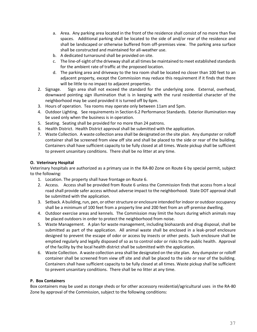- a. Area. Any parking area located in the front of the residence shall consist of no more than five spaces. Additional parking shall be located to the side of and/or rear of the residence and shall be landscaped or otherwise buffered from off-premises view. The parking area surface shall be constructed and maintained for all-weather use.
- b. A dedicated turnaround shall be provided on site.
- c. The line-of-sight of the driveway shall at all times be maintained to meet established standards for the ambient rate of traffic at the proposed location.
- d. The parking area and driveway to the tea room shall be located no closer than 100 feet to an adjacent property, except the Commission may reduce this requirement if it finds that there will be little to no impact to adjacent properties.
- 2. Signage. Sign area shall not exceed the standard for the underlying zone. External, overhead, downward pointing sign illumination that is in keeping with the rural residential character of the neighborhood may be used provided it is turned off by 6pm.
- 3. Hours of operation. Tea rooms may operate only between 11am and 5pm.
- 4. Outdoor Lighting. See requirements in Section 6.2 Performance Standards. Exterior illumination may be used only when the business is in operation.
- 5. Seating. Seating shall be provided for no more than 24 patrons.
- 6. Health District. Health District approval shall be submitted with the application.
- 7. Waste Collection. A waste collection area shall be designated on the site plan. Any dumpster or rolloff container shall be screened from view off site and shall be placed to the side or rear of the building. Containers shall have sufficient capacity to be fully closed at all times. Waste pickup shall be sufficient to prevent unsanitary conditions. There shall be no litter at any time.

# **O. Veterinary Hospital**

Veterinary hospitals are authorized as a primary use in the RA-80 Zone on Route 6 by special permit, subject to the following:

- 1. Location. The property shall have frontage on Route 6.
- 2. Access. Access shall be provided from Route 6 unless the Commission finds that access from a local road shall provide safer access without adverse impact to the neighborhood. State DOT approval shall be submitted with the application.
- 3. Setback. A building, run, pen, or other structure or enclosure intended for indoor or outdoor occupancy shall be a minimum of 100 feet from a property line and 200 feet from an off-premise dwelling.
- 4. Outdoor exercise areas and kennels. The Commission may limit the hours during which animals may be placed outdoors in order to protect the neighborhood from noise.
- 5. Waste Management. A plan for waste management, including biohazards and drug disposal, shall be submitted as part of the application. All animal waste shall be enclosed in a leak-proof enclosure designed to prevent the escape of odor or access by insects or other pests. Such enclosure shall be emptied regularly and legally disposed of so as to control odor or risks to the public health. Approval of the facility by the local health district shall be submitted with the application.
- 6. Waste Collection. A waste collection area shall be designated on the site plan. Any dumpster or rolloff container shall be screened from view off site and shall be placed to the side or rear of the building. Containers shall have sufficient capacity to be fully closed at all times. Waste pickup shall be sufficient to prevent unsanitary conditions. There shall be no litter at any time.

# **P. Box Containers**

Box containers may be used as storage sheds or for other accessory residential/agricultural uses in the RA-80 Zone by approval of the Commission, subject to the following conditions: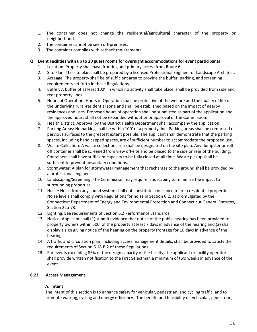- 1. The container does not change the residential/agricultural character of the property or neighborhood.
- 2. The container cannot be seen off-premises.
- 3. The container complies with setback requirements.

## **Q. Event Facilities with up to 20 guest rooms for overnight accommodations for event participants**

- 1. Location: Property shall have fronting and primary access from Route 6.
- 2. Site Plan: The site plan shall be prepared by a licensed Professional Engineer or Landscape Architect.
- 3. Acreage: The property shall be of sufficient area to provide the buffer, parking, and screening requirements set forth in these Regulations.
- 4. Buffer: A buffer of at least 100', in which no activity shall take place, shall be provided from side and rear property lines.
- 5. Hours of Operation: Hours of Operation shall be protective of the welfare and the quality of life of the underlying rural-residential zone and shall be established based on the impact of nearby residences and uses. Proposed hours of operation shall be submitted as part of the application and the approved hours shall not be expanded without prior approval of the Commission.
- 6. Health District: Approval by the District Health Department shall accompany the application.
- 7. Parking Areas: No parking shall be within 100' of a property line. Parking areas shall be comprised of pervious surfaces to the greatest extent possible. The applicant shall demonstrate that the parking spaces, including handicapped spaces, are of sufficient number to accommodate the proposed use.
- 8. Waste Collection: A waste collection area shall be designated on the site plan. Any dumpster or rolloff container shall be screened from view off-site and be placed to the side or rear of the building. Containers shall have sufficient capacity to be fully closed at all time. Waste pickup shall be sufficient to prevent unsanitary conditions.
- 9. Stormwater: A plan for stormwater management that recharges to the ground shall be provided by a professional engineer.
- 10. Landscaping/Screening: The Commission may require landscaping to minimize the impact to surrounding properties.
- 11. Noise: Noise from any sound system shall not constitute a nuisance to area residential properties. Noise levels shall comply with Regulations for noise in Section 6.2, as promulgated by the Connecticut Department of Energy and Environmental Protection and Connecticut General Statutes, Section 22a-73.
- 12. Lighting: See requirements of Section 6.2 Performance Standards.
- 13. Notice: Applicant shall (1) submit evidence that notice of the public hearing has been provided to property owners within 500' of the property at least 7 days in advance of the hearing and (2) shall display a sign giving notice of the hearing on the property frontage for 10 days in advance of the hearing.
- 14. A traffic and circulation plan, including access management details, shall be provided to satisfy the requirements of Section 6.18.B.2 of these Regulations.
- **15.** For events exceeding 85% of the design capacity of the facility, the applicant or facility operator shall provide written notification to the First Selectman a minimum of two weeks in advance of the event.

## **6.23 Access Management.**

## **A. Intent**

The intent of this section is to enhance safety for vehicular, pedestrian, and cycling traffic, and to promote walking, cycling and energy efficiency. The benefit and feasibility of vehicular, pedestrian,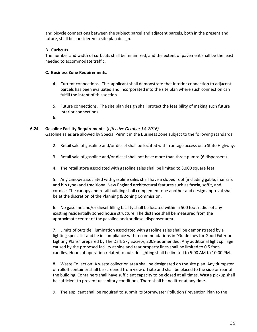and bicycle connections between the subject parcel and adjacent parcels, both in the present and future, shall be considered in site plan design.

## **B. Curbcuts**

The number and width of curbcuts shall be minimized, and the extent of pavement shall be the least needed to accommodate traffic.

## **C. Business Zone Requirements.**

- 4. Current connections. The applicant shall demonstrate that interior connection to adjacent parcels has been evaluated and incorporated into the site plan where such connection can fulfill the intent of this section.
- 5. Future connections. The site plan design shall protect the feasibility of making such future interior connections.
- 6.

## **6.24 Gasoline Facility Requirements** (*effective October 14, 2016)*

Gasoline sales are allowed by Special Permit in the Business Zone subject to the following standards:

- 2. Retail sale of gasoline and/or diesel shall be located with frontage access on a State Highway.
- 3. Retail sale of gasoline and/or diesel shall not have more than three pumps (6 dispensers).
- 4. The retail store associated with gasoline sales shall be limited to 3,000 square feet.

5. Any canopy associated with gasoline sales shall have a sloped roof (including gable, mansard and hip type) and traditional New England architectural features such as fascia, soffit, and cornice. The canopy and retail building shall complement one another and design approval shall be at the discretion of the Planning & Zoning Commission.

6. No gasoline and/or diesel-filling facility shall be located within a 500 foot radius of any existing residentially zoned house structure. The distance shall be measured from the approximate center of the gasoline and/or diesel dispenser area.

7. Limits of outside illumination associated with gasoline sales shall be demonstrated by a lighting specialist and be in compliance with recommendations in "Guidelines for Good Exterior Lighting Plans" prepared by The Dark Sky Society, 2009 as amended. Any additional light spillage caused by the proposed facility at side and rear property lines shall be limited to 0.5 footcandles. Hours of operation related to outside lighting shall be limited to 5:00 AM to 10:00 PM.

8. Waste Collection: A waste collection area shall be designated on the site plan. Any dumpster or rolloff container shall be screened from view off site and shall be placed to the side or rear of the building. Containers shall have sufficient capacity to be closed at all times. Waste pickup shall be sufficient to prevent unsanitary conditions. There shall be no litter at any time.

9. The applicant shall be required to submit its Stormwater Pollution Prevention Plan to the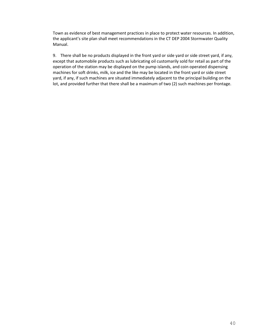Town as evidence of best management practices in place to protect water resources. In addition, the applicant's site plan shall meet recommendations in the CT DEP 2004 Stormwater Quality Manual.

9. There shall be no products displayed in the front yard or side yard or side street yard, if any, except that automobile products such as lubricating oil customarily sold for retail as part of the operation of the station may be displayed on the pump islands, and coin operated dispensing machines for soft drinks, milk, ice and the like may be located in the front yard or side street yard, if any, if such machines are situated immediately adjacent to the principal building on the lot, and provided further that there shall be a maximum of two (2) such machines per frontage.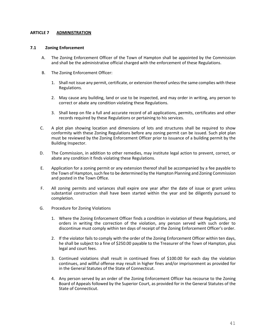#### **ARTICLE 7 ADMINISTRATION**

#### **7.1 Zoning Enforcement**

- A. The Zoning Enforcement Officer of the Town of Hampton shall be appointed by the Commission and shall be the administrative official charged with the enforcement of these Regulations.
- B. The Zoning Enforcement Officer:
	- 1. Shall not issue any permit, certificate, or extension thereof unless the same complies with these Regulations.
	- 2. May cause any building, land or use to be inspected, and may order in writing, any person to correct or abate any condition violating these Regulations.
	- 3. Shall keep on file a full and accurate record of all applications, permits, certificates and other records required by these Regulations or pertaining to his services.
- C. A plot plan showing location and dimensions of lots and structures shall be required to show conformity with these Zoning Regulations before any zoning permit can be issued. Such plot plan must be reviewed by the Zoning Enforcement Officer prior to issuance of a building permit by the Building Inspector.
- D. The Commission, in addition to other remedies, may institute legal action to prevent, correct, or abate any condition it finds violating these Regulations.
- E. Application for a zoning permit or any extension thereof shall be accompanied by a fee payable to the Town of Hampton, such fee to be determined by the Hampton Planning and Zoning Commission and posted in the Town Office.
- F. All zoning permits and variances shall expire one year after the date of issue or grant unless substantial construction shall have been started within the year and be diligently pursued to completion.
- G. Procedure for Zoning Violations
	- 1. Where the Zoning Enforcement Officer finds a condition in violation of these Regulations, and orders in writing the correction of the violation, any person served with such order to discontinue must comply within ten days of receipt of the Zoning Enforcement Officer's order.
	- 2. If the violator fails to comply with the order of the Zoning Enforcement Officer within ten days, he shall be subject to a fine of \$250.00 payable to the Treasurer of the Town of Hampton, plus legal and court fees.
	- 3. Continued violations shall result in continued fines of \$100.00 for each day the violation continues, and willful offense may result in higher fines and/or imprisonment as provided for in the General Statutes of the State of Connecticut.
	- 4. Any person served by an order of the Zoning Enforcement Officer has recourse to the Zoning Board of Appeals followed by the Superior Court, as provided for in the General Statutes of the State of Connecticut.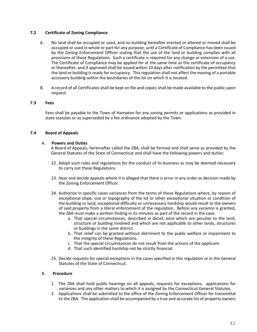## **7.2 Certificate of Zoning Compliance**

- A. No land shall be occupied or used, and no building hereafter erected or altered or moved shall be occupied or used in whole or part for any purpose, until a Certificate of Compliance has been issued by the Zoning Enforcement Officer stating that the use of the land or building complies with all provisions of these Regulations. Such a certificate is required for any change or extension of a use. The Certificate of Compliance may be applied for at the same time as the certificate of occupancy or thereafter, and if approved shall be issued within 10 days after notification by the permittee that the land or building is ready for occupancy. This regulation shall not affect the moving of a portable accessory building within the boundaries of the lot on which it is located.
- B. A record of all Certificates shall be kept on file and copies shall be made available to the public upon request.

## **7.3 Fees**

Fees shall be payable to the Town of Hampton for any zoning permits or applications as provided in state statutes or as superseded by a fee ordinance adopted by the Town.

## **7.4 Board of Appeals**

## A. **Powers and Duties**

A Board of Appeals, hereinafter called the ZBA, shall be formed and shall serve as provided by the General Statutes of the State of Connecticut and shall have the following powers and duties:

- 22. Adopt such rules and regulations for the conduct of its business as may be deemed necessary to carry out these Regulations.
- 23. Hear and decide appeals where it is alleged that there is error in any order or decision made by the Zoning Enforcement Officer.
- 24. Authorize in specific cases variances from the terms of these Regulations where, by reason of exceptional slope, size or topography of the lot or other exceptional situation or condition of the building or land, exceptional difficulty or unnecessary hardship would result to the owners of said property from a literal enforcement of the regulation. Before any variance is granted, the ZBA must make a written finding in its minutes as part of the record in the case:
	- a. That special circumstances, described in detail, exist which are peculiar to the land, structure or building involved and which are not applicable to other lands, structures or buildings in the same district.
	- b. That relief can be granted without detriment to the public welfare or impairment to the integrity of these Regulations.
	- c. That the special circumstances do not result from the actions of the applicant.
	- d. That such identified hardship not be strictly financial.
- 25. Decide requests for special exceptions in the cases specified in this regulation or in the General Statutes of the State of Connecticut.

## B. **Procedure**

- 1. The ZBA shall hold public hearings on all appeals, requests for exceptions, applications for variances and any other matters to which it is assigned by the Connecticut General Statutes.
- 2. Applications shall be submitted to the office of the Zoning Enforcement Officer for transmittal to the ZBA. The application shall be accompanied by a true and accurate list of property owners